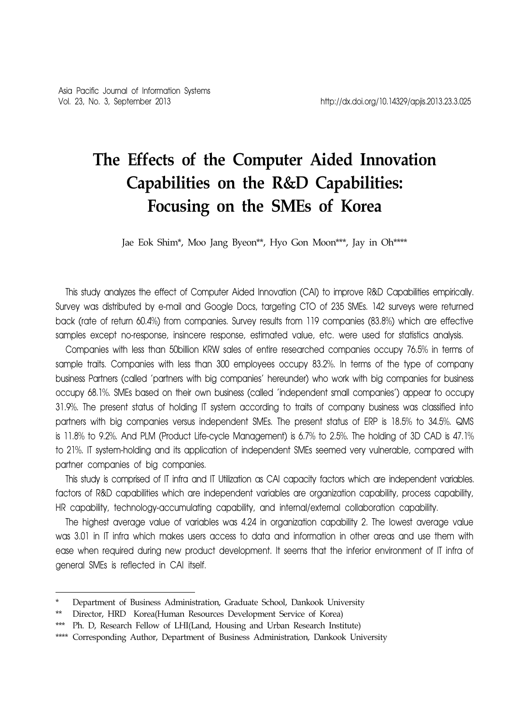# **The Effects of the Computer Aided Innovation Capabilities on the R&D Capabilities: Focusing on the SMEs of Korea**

Jae Eok Shim\*, Moo Jang Byeon\*\*, Hyo Gon Moon\*\*\*, Jay in Oh\*\*\*\*

This study analyzes the effect of Computer Aided Innovation (CAI) to improve R&D Capabilities empirically. Survey was distributed by e-mail and Google Docs, targeting CTO of 235 SMEs. 142 surveys were returned back (rate of return 60.4%) from companies. Survey results from 119 companies (83.8%) which are effective samples except no-response, insincere response, estimated value, etc. were used for statistics analysis.

Companies with less than 50billion KRW sales of entire researched companies occupy 76.5% in terms of sample traits. Companies with less than 300 employees occupy 83.2%. In terms of the type of company business Partners (called 'partners with big companies' hereunder) who work with big companies for business occupy 68.1%. SMEs based on their own business (called 'independent small companies') appear to occupy 31.9%. The present status of holding IT system according to traits of company business was classified into partners with big companies versus independent SMEs. The present status of ERP is 18.5% to 34.5%. QMS is 11.8% to 9.2%. And PLM (Product Life-cycle Management) is 6.7% to 2.5%. The holding of 3D CAD is 47.1% to 21%. IT system-holding and its application of independent SMEs seemed very vulnerable, compared with partner companies of big companies.

This study is comprised of IT infra and IT Utilization as CAI capacity factors which are independent variables. factors of R&D capabilities which are independent variables are organization capability, process capability, HR capability, technology-accumulating capability, and internal/external collaboration capability.

The highest average value of variables was 4.24 in organization capability 2. The lowest average value was 3.01 in IT infra which makes users access to data and information in other areas and use them with ease when required during new product development. It seems that the inferior environment of IT infra of general SMEs is reflected in CAI itself.

Department of Business Administration, Graduate School, Dankook University

<sup>\*\*</sup> Director, HRD Korea(Human Resources Development Service of Korea)

<sup>\*\*\*</sup> Ph. D, Research Fellow of LHI(Land, Housing and Urban Research Institute)

<sup>\*\*\*\*</sup> Corresponding Author, Department of Business Administration, Dankook University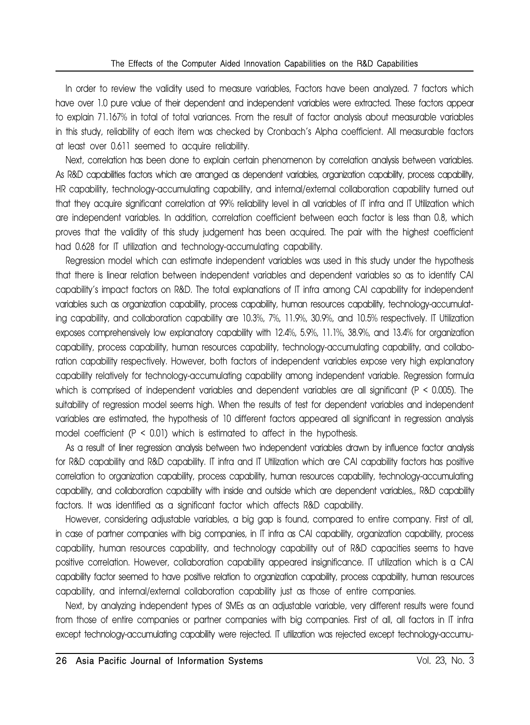In order to review the validity used to measure variables, Factors have been analyzed. 7 factors which have over 1.0 pure value of their dependent and independent variables were extracted. These factors appear to explain 71.167% in total of total variances. From the result of factor analysis about measurable variables in this study, reliability of each item was checked by Cronbach's Alpha coefficient. All measurable factors at least over 0.611 seemed to acquire reliability.

Next, correlation has been done to explain certain phenomenon by correlation analysis between variables. As R&D capabilities factors which are arranged as dependent variables, organization capability, process capability, HR capability, technology-accumulating capability, and internal/external collaboration capability turned out that they acquire significant correlation at 99% reliability level in all variables of IT infra and IT Utilization which are independent variables. In addition, correlation coefficient between each factor is less than 0.8, which proves that the validity of this study judgement has been acquired. The pair with the highest coefficient had 0.628 for IT utilization and technology-accumulating capability.

Regression model which can estimate independent variables was used in this study under the hypothesis that there is linear relation between independent variables and dependent variables so as to identify CAI capability's impact factors on R&D. The total explanations of IT infra among CAI capability for independent variables such as organization capability, process capability, human resources capability, technology-accumulating capability, and collaboration capability are 10.3%, 7%, 11.9%, 30.9%, and 10.5% respectively. IT Utilization exposes comprehensively low explanatory capability with 12.4%, 5.9%, 11.1%, 38.9%, and 13.4% for organization capability, process capability, human resources capability, technology-accumulating capability, and collaboration capability respectively. However, both factors of independent variables expose very high explanatory capability relatively for technology-accumulating capability among independent variable. Regression formula which is comprised of independent variables and dependent variables are all significant (P < 0.005). The suitability of regression model seems high. When the results of test for dependent variables and independent variables are estimated, the hypothesis of 10 different factors appeared all significant in regression analysis model coefficient (P < 0.01) which is estimated to affect in the hypothesis.

As a result of liner regression analysis between two independent variables drawn by influence factor analysis for R&D capability and R&D capability. IT infra and IT Utilization which are CAI capability factors has positive correlation to organization capability, process capability, human resources capability, technology-accumulating capability, and collaboration capability with inside and outside which are dependent variables,, R&D capability factors. It was identified as a significant factor which affects R&D capability.

However, considering adjustable variables, a big gap is found, compared to entire company. First of all, in case of partner companies with big companies, in IT infra as CAI capability, organization capability, process capability, human resources capability, and technology capability out of R&D capacities seems to have positive correlation. However, collaboration capability appeared insignificance. IT utilization which is a CAI capability factor seemed to have positive relation to organization capability, process capability, human resources capability, and internal/external collaboration capability just as those of entire companies.

Next, by analyzing independent types of SMEs as an adjustable variable, very different results were found from those of entire companies or partner companies with big companies. First of all, all factors in IT infra except technology-accumulating capability were rejected. IT utilization was rejected except technology-accumu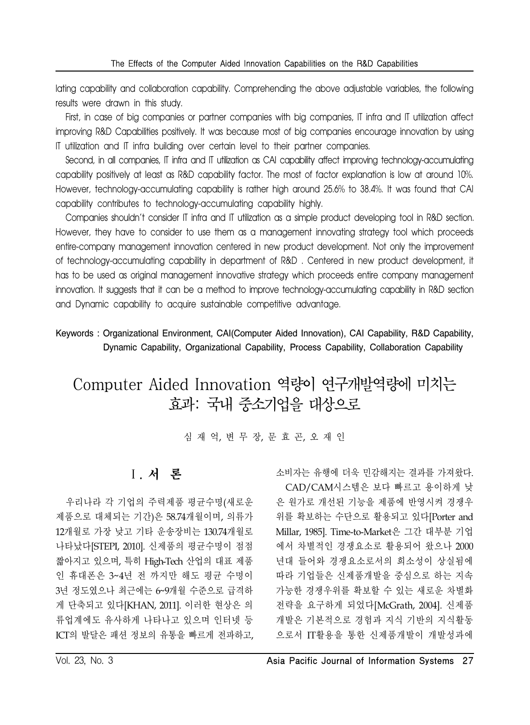lating capability and collaboration capability. Comprehending the above adjustable variables, the following results were drawn in this study.

First, in case of big companies or partner companies with big companies, IT infra and IT utilization affect improving R&D Capabilities positively. It was because most of big companies encourage innovation by using IT utilization and IT infra building over certain level to their partner companies.

Second, in all companies, IT infra and IT utilization as CAI capability affect improving technology-accumulating capability positively at least as R&D capability factor. The most of factor explanation is low at around 10%. However, technology-accumulating capability is rather high around 25.6% to 38.4%. It was found that CAI capability contributes to technology-accumulating capability highly.

Companies shouldn't consider IT infra and IT utilization as a simple product developing tool in R&D section. However, they have to consider to use them as a management innovating strategy tool which proceeds entire-company management innovation centered in new product development. Not only the improvement of technology-accumulating capability in department of R&D . Centered in new product development, it has to be used as original management innovative strategy which proceeds entire company management innovation. It suggests that it can be a method to improve technology-accumulating capability in R&D section and Dynamic capability to acquire sustainable competitive advantage.

Keywords : Organizational Environment, CAI(Computer Aided Innovation), CAI Capability, R&D Capability, Dynamic Capability, Organizational Capability, Process Capability, Collaboration Capability

# Computer Aided Innovation 역량이 연구개발역량에 미치는 효과: 국내 중소기업을 대상으로

심 재 억, 변 무 장, 문 효 곤, 오 재 인

# Ⅰ. 서 론

우리나라 각 기업의 주력제품 평균수명(새로운 제품으로 대체되는 기간)은 58.74개월이며, 의류가 12개월로 가장 낮고 기타 운송장비는 130.74개월로 나타났다[STEPI, 2010]. 신제품의 평균수명이 점점 짧아지고 있으며, 특히 High-Tech 산업의 대표 제품 인 휴대폰은 3~4년 전 까지만 해도 평균 수명이 3년 정도였으나 최근에는 6~9개월 수준으로 급격하 게 단축되고 있다[KHAN, 2011]. 이러한 현상은 의 류업계에도 유사하게 나타나고 있으며 인터넷 등 ICT의 발달은 패션 정보의 유통을 빠르게 전파하고,

소비자는 유행에 더욱 민감해지는 결과를 가져왔다. CAD/CAM시스템은 보다 빠르고 용이하게 낮 은 원가로 개선된 기능을 제품에 반영시켜 경쟁우 위를 확보하는 수단으로 활용되고 있다[Porter and Millar, 1985]. Time-to-Market은 그간 대부분 기업 에서 차별적인 경쟁요소로 활용되어 왔으나 2000 년대 들어와 경쟁요소로서의 희소성이 상실됨에 따라 기업들은 신제품개발을 중심으로 하는 지속 가능한 경쟁우위를 확보할 수 있는 새로운 차별화 전략을 요구하게 되었다[McGrath, 2004]. 신제품 개발은 기본적으로 경험과 지식 기반의 지식활동 으로서 IT활용을 통한 신제품개발이 개발성과에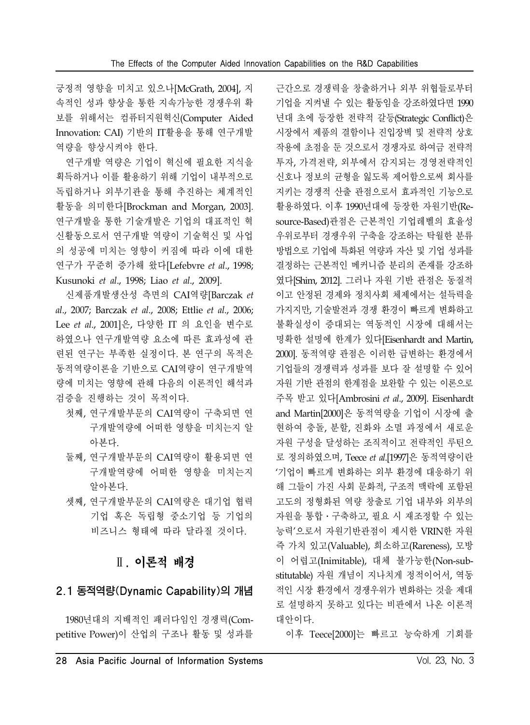긍정적 영향을 미치고 있으나[McGrath, 2004], 지 속적인 성과 향상을 통한 지속가능한 경쟁우위 확 보를 위해서는 컴퓨터지원혁신(Computer Aided Innovation: CAI) 기반의 IT활용을 통해 연구개발 역량을 향상시켜야 한다.

연구개발 역량은 기업이 혁신에 필요한 지식을 획득하거나 이를 활용하기 위해 기업이 내부적으로 독립하거나 외부기관을 통해 추진하는 체계적인 활동을 의미한다[Brockman and Morgan, 2003]. 연구개발을 통한 기술개발은 기업의 대표적인 혁 신활동으로서 연구개발 역량이 기술혁신 및 사업 의 성공에 미치는 영향이 커짐에 따라 이에 대한 연구가 꾸준히 증가해 왔다[Lefebvre *et al*., 1998; Kusunoki *et al*., 1998; Liao *et al*., 2009].

신제품개발생산성 측면의 CAI역량[Barczak *et al*., 2007; Barczak *et al*., 2008; Ettlie *et al*., 2006; Lee *et al*., 2001]은, 다양한 IT 의 요인을 변수로 하였으나 연구개발역량 요소에 따른 효과성에 관 련된 연구는 부족한 실정이다. 본 연구의 목적은 동적역량이론을 기반으로 CAI역량이 연구개발역 량에 미치는 영향에 관해 다음의 이론적인 해석과 검증을 진행하는 것이 목적이다.

- 첫째, 연구개발부문의 CAI역량이 구축되면 연 구개발역량에 어떠한 영향을 미치는지 알 아본다.
- 둘째, 연구개발부문의 CAI역량이 활용되면 연 구개발역량에 어떠한 영향을 미치는지 알아본다.
- 셋째, 연구개발부문의 CAI역량은 대기업 협력 기업 혹은 독립형 중소기업 등 기업의 비즈니스 형태에 따라 달라질 것이다.

# Ⅱ. 이론적 배경

### 2.1 동적역량(Dynamic Capability)의 개념

1980년대의 지배적인 패러다임인 경쟁력(Competitive Power)이 산업의 구조나 활동 및 성과를

근간으로 경쟁력을 창출하거나 외부 위협들로부터 기업을 지켜낼 수 있는 활동임을 강조하였다면 1990 년대 초에 등장한 전략적 갈등(Strategic Conflict)은 시장에서 제품의 결함이나 진입장벽 및 전략적 상호 작용에 초점을 둔 것으로서 경쟁자로 하여금 전략적 투자, 가격전략, 외부에서 감지되는 경영전략적인 신호나 정보의 균형을 잃도록 제어함으로써 회사를 지키는 경쟁적 산출 관점으로서 효과적인 기능으로 활용하였다. 이후 1990년대에 등장한 자원기반(Resource-Based)관점은 근본적인 기업레벨의 효율성 우위로부터 경쟁우위 구축을 강조하는 탁월한 분류 방법으로 기업에 특화된 역량과 자산 및 기업 성과를 결정하는 근본적인 메커니즘 분리의 존재를 강조하 였다[Shim, 2012]. 그러나 자원 기반 관점은 동질적 이고 안정된 경제와 정치사회 체제에서는 설득력을 가지지만, 기술발전과 경쟁 환경이 빠르게 변화하고 불확실성이 증대되는 역동적인 시장에 대해서는 명확한 설명에 한계가 있다[Eisenhardt and Martin, 2000]. 동적역량 관점은 이러한 급변하는 환경에서 기업들의 경쟁력과 성과를 보다 잘 설명할 수 있어 자원 기반 관점의 한계점을 보완할 수 있는 이론으로 주목 받고 있다[Ambrosini *et al*., 2009]. Eisenhardt and Martin[2000]은 동적역량을 기업이 시장에 출 현하여 충돌, 분할, 진화와 소멸 과정에서 새로운 자원 구성을 달성하는 조직적이고 전략적인 루틴으 로 정의하였으며, Teece *et al*.[1997]은 동적역량이란 '기업이 빠르게 변화하는 외부 환경에 대응하기 위 해 그들이 가진 사회 문화적, 구조적 맥락에 포함된 고도의 정형화된 역량 창출로 기업 내부와 외부의 자원을 통합․구축하고, 필요 시 재조정할 수 있는 능력'으로서 자원기반관점이 제시한 VRIN한 자원 즉 가치 있고(Valuable), 희소하고(Rareness), 모방 이 어렵고(Inimitable), 대체 불가능한(Non-substitutable) 자원 개념이 지나치게 정적이어서, 역동 적인 시장 환경에서 경쟁우위가 변화하는 것을 제대 로 설명하지 못하고 있다는 비판에서 나온 이론적 대안이다.

이후 Teece[2000]는 빠르고 능숙하게 기회를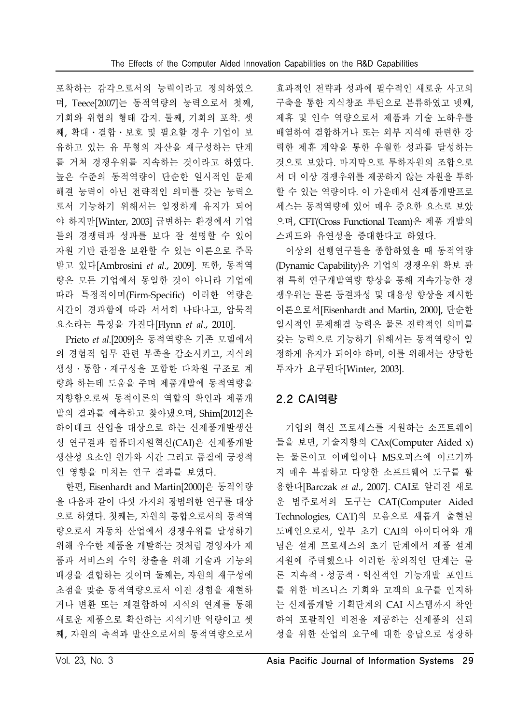포착하는 감각으로서의 능력이라고 정의하였으 며, Teece[2007]는 동적역량의 능력으로서 첫째, 기회와 위협의 형태 감지. 둘째, 기회의 포착. 셋 째, 확대․결합․보호 및 필요할 경우 기업이 보 유하고 있는 유 무형의 자산을 재구성하는 단계 를 거쳐 경쟁우위를 지속하는 것이라고 하였다. 높은 수준의 동적역량이 단순한 일시적인 문제 해결 능력이 아닌 전략적인 의미를 갖는 능력으 로서 기능하기 위해서는 일정하게 유지가 되어 야 하지만[Winter, 2003] 급변하는 환경에서 기업 들의 경쟁력과 성과를 보다 잘 설명할 수 있어 자원 기반 관점을 보완할 수 있는 이론으로 주목 받고 있다[Ambrosini *et al*., 2009]. 또한, 동적역 량은 모든 기업에서 동일한 것이 아니라 기업에 따라 특정적이며(Firm-Specific) 이러한 역량은 시간이 경과함에 따라 서서히 나타나고, 암묵적 요소라는 특징을 가진다[Flynn *et al*., 2010].

Prieto *et al*.[2009]은 동적역량은 기존 모델에서 의 경험적 업무 관련 부족을 감소시키고, 지식의 생성․통합․재구성을 포함한 다차원 구조로 계 량화 하는데 도움을 주며 제품개발에 동적역량을 지향함으로써 동적이론의 역할의 확인과 제품개 발의 결과를 예측하고 찾아냈으며, Shim[2012]은 하이테크 산업을 대상으로 하는 신제품개발생산 성 연구결과 컴퓨터지원혁신(CAI)은 신제품개발 생산성 요소인 원가와 시간 그리고 품질에 긍정적 인 영향을 미치는 연구 결과를 보였다.

한편, Eisenhardt and Martin[2000]은 동적역량 을 다음과 같이 다섯 가지의 광범위한 연구를 대상 으로 하였다. 첫째는, 자원의 통합으로서의 동적역 량으로서 자동차 산업에서 경쟁우위를 달성하기 위해 우수한 제품을 개발하는 것처럼 경영자가 제 품과 서비스의 수익 창출을 위해 기술과 기능의 배경을 결합하는 것이며 둘째는, 자원의 재구성에 초점을 맞춘 동적역량으로서 이전 경험을 재현하 거나 변환 또는 재결합하여 지식의 연계를 통해 새로운 제품으로 확산하는 지식기반 역량이고 셋 째, 자원의 축적과 발산으로서의 동적역량으로서

효과적인 전략과 성과에 필수적인 새로운 사고의 구축을 통한 지식창조 루틴으로 분류하였고 넷째, 제휴 및 인수 역량으로서 제품과 기술 노하우를 배열하여 결합하거나 또는 외부 지식에 관련한 강 력한 제휴 계약을 통한 우월한 성과를 달성하는 것으로 보았다. 마지막으로 투하자원의 조합으로 서 더 이상 경쟁우위를 제공하지 않는 자원을 투하 할 수 있는 역량이다. 이 가운데서 신제품개발프로 세스는 동적역량에 있어 매우 중요한 요소로 보았 으며, CFT(Cross Functional Team)은 제품 개발의 스피드와 유연성을 증대한다고 하였다.

이상의 선행연구들을 종합하였을 때 동적역량 (Dynamic Capability)은 기업의 경쟁우위 확보 관 점 특히 연구개발역량 향상을 통해 지속가능한 경 쟁우위는 물론 등결과성 및 대용성 향상을 제시한 이론으로서[Eisenhardt and Martin, 2000], 단순한 일시적인 문제해결 능력은 물론 전략적인 의미를 갖는 능력으로 기능하기 위해서는 동적역량이 일 정하게 유지가 되어야 하며, 이를 위해서는 상당한 투자가 요구된다[Winter, 2003].

# 2.2 CAI역량

기업의 혁신 프로세스를 지원하는 소프트웨어 들을 보면, 기술지향의 CAx(Computer Aided x) 는 물론이고 이메일이나 MS오피스에 이르기까 지 매우 복잡하고 다양한 소프트웨어 도구를 활 용한다[Barczak *et al*., 2007]. CAI로 알려진 새로 운 범주로서의 도구는 CAT(Computer Aided Technologies, CAT)의 모음으로 새롭게 출현된 도메인으로서, 일부 초기 CAI의 아이디어와 개 념은 설계 프로세스의 초기 단계에서 제품 설계 지원에 주력했으나 이러한 창의적인 단계는 물 론 지속적․성공적․혁신적인 기능개발 포인트 를 위한 비즈니스 기회와 고객의 요구를 인지하 는 신제품개발 기획단계의 CAI 시스템까지 착안 하여 포괄적인 비전을 제공하는 신제품의 신뢰 성을 위한 산업의 요구에 대한 응답으로 성장하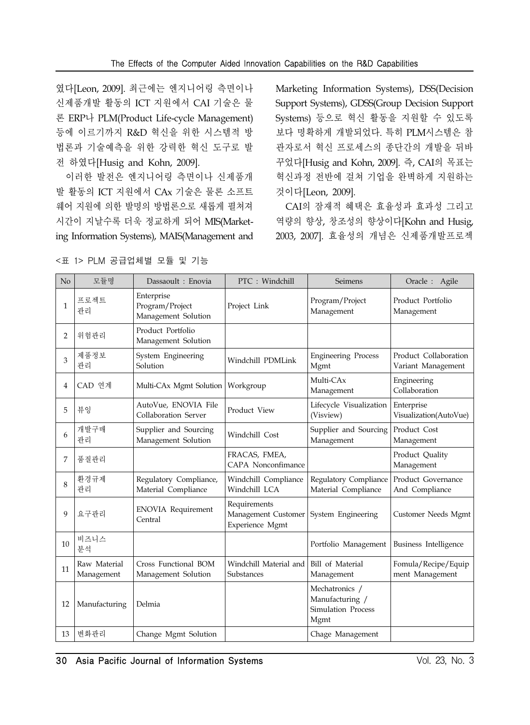였다[Leon, 2009]. 최근에는 엔지니어링 측면이나 신제품개발 활동의 ICT 지원에서 CAI 기술은 물 론 ERP나 PLM(Product Life-cycle Management) 등에 이르기까지 R&D 혁신을 위한 시스템적 방 법론과 기술예측을 위한 강력한 혁신 도구로 발 전 하였다[Husig and Kohn, 2009].

이러한 발전은 엔지니어링 측면이나 신제품개 발 활동의 ICT 지원에서 CAx 기술은 물론 소프트 웨어 지원에 의한 발명의 방법론으로 새롭게 펼쳐져 시간이 지날수록 더욱 정교하게 되어 MIS(Marketing Information Systems), MAIS(Management and

Marketing Information Systems), DSS(Decision Support Systems), GDSS(Group Decision Support Systems) 등으로 혁신 활동을 지원할 수 있도록 보다 명확하게 개발되었다. 특히 PLM시스템은 참 관자로서 혁신 프로세스의 종단간의 개발을 뒤바 꾸었다[Husig and Kohn, 2009]. 즉, CAI의 목표는 혁신과정 전반에 걸쳐 기업을 완벽하게 지원하는 것이다[Leon, 2009].

CAI의 잠재적 혜택은 효율성과 효과성 그리고 역량의 향상, 창조성의 향상이다[Kohn and Husig, 2003, 2007]. 효율성의 개념은 신제품개발프로젝

| N <sub>o</sub> | 모듈명                        | Dassaoult : Enovia                                   | PTC: Windchill                                         | <b>Seimens</b>                                                         | Oracle :<br>Agile                           |
|----------------|----------------------------|------------------------------------------------------|--------------------------------------------------------|------------------------------------------------------------------------|---------------------------------------------|
| 1              | 프로젝트<br>관리                 | Enterprise<br>Program/Project<br>Management Solution | Project Link                                           | Program/Project<br>Management                                          | Product Portfolio<br>Management             |
| $\overline{2}$ | 위험관리                       | Product Portfolio<br>Management Solution             |                                                        |                                                                        |                                             |
| 3              | 제품정보<br>관리                 | System Engineering<br>Solution                       | Windchill PDMLink                                      | <b>Engineering Process</b><br>Mgmt                                     | Product Collaboration<br>Variant Management |
| 4              | CAD 연계                     | Multi-CAx Mgmt Solution                              | Workgroup                                              | Multi-CAx<br>Management                                                | Engineering<br>Collaboration                |
| 5              | 뷰잉                         | AutoVue, ENOVIA File<br>Collaboration Server         | Product View                                           | Lifecycle Visualization<br>(Visview)                                   | Enterprise<br>Visualization(AutoVue)        |
| 6              | 개발구매<br>관리                 | Supplier and Sourcing<br>Management Solution         | Windchill Cost                                         | Supplier and Sourcing<br>Management                                    | Product Cost<br>Management                  |
| 7              | 품질관리                       |                                                      | FRACAS, FMEA,<br>CAPA Nonconfimance                    |                                                                        | Product Quality<br>Management               |
| 8              | 화경규제<br>관리                 | Regulatory Compliance,<br>Material Compliance        | Windchill Compliance<br>Windchill LCA                  | Regulatory Compliance<br>Material Compliance                           | Product Governance<br>And Compliance        |
| 9              | 요구관리                       | <b>ENOVIA</b> Requirement<br>Central                 | Requirements<br>Management Customer<br>Experience Mgmt | System Engineering                                                     | Customer Needs Mgmt                         |
| 10             | 비즈니스<br>뷰석                 |                                                      |                                                        | Portfolio Management                                                   | Business Intelligence                       |
| 11             | Raw Material<br>Management | Cross Functional BOM<br>Management Solution          | Windchill Material and<br>Substances                   | Bill of Material<br>Management                                         | Fomula/Recipe/Equip<br>ment Management      |
| 12             | Manufacturing              | Delmia                                               |                                                        | Mechatronics /<br>Manufacturing /<br><b>Simulation Process</b><br>Mgmt |                                             |
| 13             | 변화관리                       | Change Mgmt Solution                                 |                                                        | Chage Management                                                       |                                             |

<표 1> PLM 공급업체별 모듈 및 기능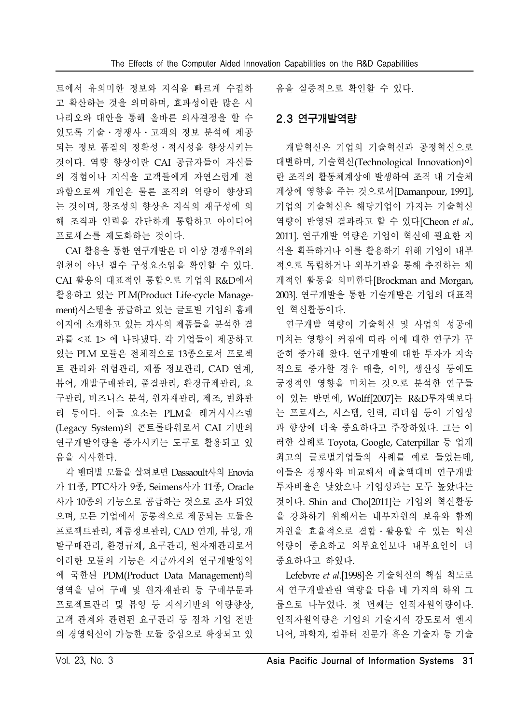트에서 유의미한 정보와 지식을 빠르게 수집하 고 확산하는 것을 의미하며, 효과성이란 많은 시 나리오와 대안을 통해 올바른 의사결정을 할 수 있도록 기술․경쟁사․고객의 정보 분석에 제공 되는 정보 품질의 정확성․적시성을 향상시키는 것이다. 역량 향상이란 CAI 공급자들이 자신들 의 경험이나 지식을 고객들에게 자연스럽게 전 파함으로써 개인은 물론 조직의 역량이 향상되 는 것이며, 창조성의 향상은 지식의 재구성에 의 해 조직과 인력을 간단하게 통합하고 아이디어 프로세스를 제도화하는 것이다.

CAI 활용을 통한 연구개발은 더 이상 경쟁우위의 원천이 아닌 필수 구성요소임을 확인할 수 있다. CAI 활용의 대표적인 통합으로 기업의 R&D에서 활용하고 있는 PLM(Product Life-cycle Management)시스템을 공급하고 있는 글로벌 기업의 홈페 이지에 소개하고 있는 자사의 제품들을 분석한 결 과를 <표 1> 에 나타냈다. 각 기업들이 제공하고 있는 PLM 모듈은 전체적으로 13종으로서 프로젝 트 관리와 위험관리, 제품 정보관리, CAD 연계, 뷰어, 개발구매관리, 품질관리, 환경규제관리, 요 구관리, 비즈니스 분석, 원자재관리, 제조, 변화관 리 등이다. 이들 요소는 PLM을 레거시시스템 (Legacy System)의 콘트롤타워로서 CAI 기반의 연구개발역량을 증가시키는 도구로 활용되고 있 음을 시사한다.

각 벤더별 모듈을 살펴보면 Dassaoult사의 Enovia 가 11종, PTC사가 9종, Seimens사가 11종, Oracle 사가 10종의 기능으로 공급하는 것으로 조사 되었 으며, 모든 기업에서 공통적으로 제공되는 모듈은 프로젝트관리, 제품정보관리, CAD 연계, 뷰잉, 개 발구매관리, 환경규제, 요구관리, 원자재관리로서 이러한 모듈의 기능은 지금까지의 연구개발영역 에 국한된 PDM(Product Data Management)의 영역을 넘어 구매 및 원자재관리 등 구매부문과 프로젝트관리 및 뷰잉 등 지식기반의 역량향상, 고객 관계와 관련된 요구관리 등 점차 기업 전반 의 경영혁신이 가능한 모듈 중심으로 확장되고 있 음을 실증적으로 확인할 수 있다.

### 2.3 연구개발역량

개발혁신은 기업의 기술혁신과 공정혁신으로 대별하며, 기술혁신(Technological Innovation)이 란 조직의 활동체계상에 발생하여 조직 내 기술체 계상에 영향을 주는 것으로서[Damanpour, 1991], 기업의 기술혁신은 해당기업이 가지는 기술혁신 역량이 반영된 결과라고 할 수 있다[Cheon *et al*., 2011]. 연구개발 역량은 기업이 혁신에 필요한 지 식을 획득하거나 이를 활용하기 위해 기업이 내부 적으로 독립하거나 외부기관을 통해 추진하는 체 계적인 활동을 의미한다[Brockman and Morgan, 2003]. 연구개발을 통한 기술개발은 기업의 대표적 인 혁신활동이다.

연구개발 역량이 기술혁신 및 사업의 성공에 미치는 영향이 커짐에 따라 이에 대한 연구가 꾸 준히 증가해 왔다. 연구개발에 대한 투자가 지속 적으로 증가할 경우 매출, 이익, 생산성 등에도 긍정적인 영향을 미치는 것으로 분석한 연구들 이 있는 반면에, Wolff[2007]는 R&D투자액보다 는 프로세스, 시스템, 인력, 리더십 등이 기업성 과 향상에 더욱 중요하다고 주장하였다. 그는 이 러한 실례로 Toyota, Google, Caterpillar 등 업계 최고의 글로벌기업들의 사례를 예로 들었는데, 이들은 경쟁사와 비교해서 매출액대비 연구개발 투자비율은 낮았으나 기업성과는 모두 높았다는 것이다. Shin and Cho[2011]는 기업의 혁신활동 을 강화하기 위해서는 내부자원의 보유와 함께 자원을 효율적으로 결합․활용할 수 있는 혁신 역량이 중요하고 외부요인보다 내부요인이 더 중요하다고 하였다.

Lefebvre *et al*.[1998]은 기술혁신의 핵심 척도로 서 연구개발관련 역량을 다음 네 가지의 하위 그 룹으로 나누었다. 첫 번째는 인적자원역량이다. 인적자원역량은 기업의 기술지식 강도로서 엔지 니어, 과학자, 컴퓨터 전문가 혹은 기술자 등 기술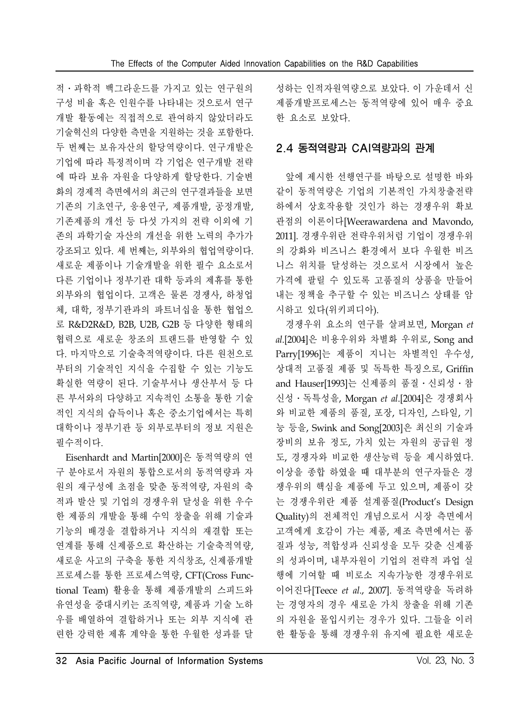적․과학적 백그라운드를 가지고 있는 연구원의 구성 비율 혹은 인원수를 나타내는 것으로서 연구 개발 활동에는 직접적으로 관여하지 않았더라도 기술혁신의 다양한 측면을 지원하는 것을 포함한다. 두 번째는 보유자산의 할당역량이다. 연구개발은 기업에 따라 특정적이며 각 기업은 연구개발 전략 에 따라 보유 자원을 다양하게 할당한다. 기술변 화의 경제적 측면에서의 최근의 연구결과들을 보면 기존의 기초연구, 응용연구, 제품개발, 공정개발, 기존제품의 개선 등 다섯 가지의 전략 이외에 기 존의 과학기술 자산의 개선을 위한 노력의 추가가 강조되고 있다. 세 번째는, 외부와의 협업역량이다. 새로운 제품이나 기술개발을 위한 필수 요소로서 다른 기업이나 정부기관 대학 등과의 제휴를 통한 외부와의 협업이다. 고객은 물론 경쟁사, 하청업 체, 대학, 정부기관과의 파트너십을 통한 협업으 로 R&D2R&D, B2B, U2B, G2B 등 다양한 형태의 협력으로 새로운 창조의 트랜드를 반영할 수 있 다. 마지막으로 기술축적역량이다. 다른 원천으로 부터의 기술적인 지식을 수집할 수 있는 기능도 확실한 역량이 된다. 기술부서나 생산부서 등 다 른 부서와의 다양하고 지속적인 소통을 통한 기술 적인 지식의 습득이나 혹은 중소기업에서는 특히 대학이나 정부기관 등 외부로부터의 정보 지원은 필수적이다.

Eisenhardt and Martin[2000]은 동적역량의 연 구 분야로서 자원의 통합으로서의 동적역량과 자 원의 재구성에 초점을 맞춘 동적역량, 자원의 축 적과 발산 및 기업의 경쟁우위 달성을 위한 우수 한 제품의 개발을 통해 수익 창출을 위해 기술과 기능의 배경을 결합하거나 지식의 재결합 또는 연계를 통해 신제품으로 확산하는 기술축적역량, 새로운 사고의 구축을 통한 지식창조, 신제품개발 프로세스를 통한 프로세스역량, CFT(Cross Functional Team) 활용을 통해 제품개발의 스피드와 유연성을 증대시키는 조직역량, 제품과 기술 노하 우를 배열하여 결합하거나 또는 외부 지식에 관 련한 강력한 제휴 계약을 통한 우월한 성과를 달 성하는 인적자원역량으로 보았다. 이 가운데서 신 제품개발프로세스는 동적역량에 있어 매우 중요 한 요소로 보았다.

## 2.4 동적역량과 CAI역량과의 관계

앞에 제시한 선행연구를 바탕으로 설명한 바와 같이 동적역량은 기업의 기본적인 가치창출전략 하에서 상호작용할 것인가 하는 경쟁우위 확보 관점의 이론이다[Weerawardena and Mavondo, 2011]. 경쟁우위란 전략우위처럼 기업이 경쟁우위 의 강화와 비즈니스 환경에서 보다 우월한 비즈 니스 위치를 달성하는 것으로서 시장에서 높은 가격에 팔릴 수 있도록 고품질의 상품을 만들어 내는 정책을 추구할 수 있는 비즈니스 상태를 암 시하고 있다(위키피디아).

경쟁우위 요소의 연구를 살펴보면, Morgan *et al*.[2004]은 비용우위와 차별화 우위로, Song and Parry[1996]는 제품이 지니는 차별적인 우수성, 상대적 고품질 제품 및 독특한 특징으로, Griffin and Hauser[1993]는 신제품의 품질 · 신뢰성 · 참 신성․독특성을, Morgan *et al*.[2004]은 경쟁회사 와 비교한 제품의 품질, 포장, 디자인, 스타일, 기 능 등을, Swink and Song[2003]은 최신의 기술과 장비의 보유 정도, 가치 있는 자원의 공급원 정 도, 경쟁자와 비교한 생산능력 등을 제시하였다. 이상을 종합 하였을 때 대부분의 연구자들은 경 쟁우위의 핵심을 제품에 두고 있으며, 제품이 갖 는 경쟁우위란 제품 설계품질(Product's Design Quality)의 전체적인 개념으로서 시장 측면에서 고객에게 호감이 가는 제품, 제조 측면에서는 품 질과 성능, 적합성과 신뢰성을 모두 갖춘 신제품 의 성과이며, 내부자원이 기업의 전략적 과업 실 행에 기여할 때 비로소 지속가능한 경쟁우위로 이어진다[Teece *et al*., 2007]. 동적역량을 독려하 는 경영자의 경우 새로운 가치 창출을 위해 기존 의 자원을 몰입시키는 경우가 있다. 그들을 이러 한 활동을 통해 경쟁우위 유지에 필요한 새로운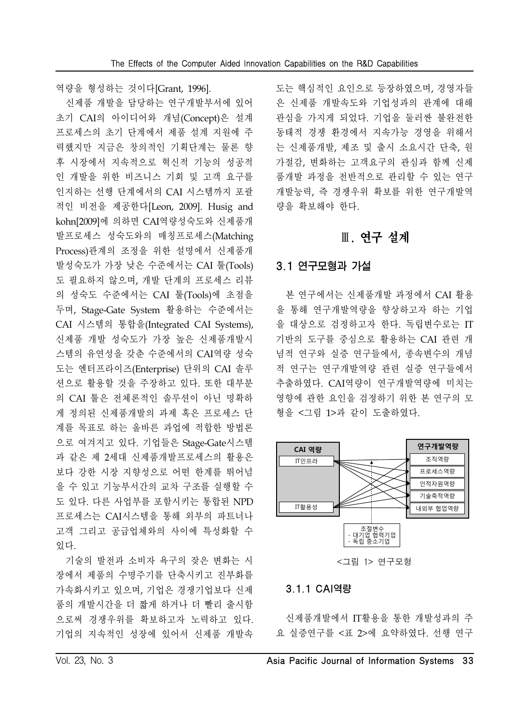역량을 형성하는 것이다[Grant, 1996].

신제품 개발을 담당하는 연구개발부서에 있어 초기 CAI의 아이디어와 개념(Concept)은 설계 프로세스의 초기 단계에서 제품 설계 지원에 주 력했지만 지금은 창의적인 기획단계는 물론 향 후 시장에서 지속적으로 혁신적 기능의 성공적 인 개발을 위한 비즈니스 기회 및 고객 요구를 인지하는 선행 단계에서의 CAI 시스템까지 포괄 적인 비전을 제공한다[Leon, 2009]. Husig and kohn[2009]에 의하면 CAI역량성숙도와 신제품개 발프로세스 성숙도와의 매칭프로세스(Matching Process)관계의 조정을 위한 설명에서 신제품개 발성숙도가 가장 낮은 수준에서는 CAI 툴(Tools) 도 필요하지 않으며, 개발 단계의 프로세스 리뷰 의 성숙도 수준에서는 CAI 툴(Tools)에 초점을 두며, Stage-Gate System 활용하는 수준에서는 CAI 시스템의 통합을(Integrated CAI Systems), 신제품 개발 성숙도가 가장 높은 신제품개발시 스템의 유연성을 갖춘 수준에서의 CAI역량 성숙 도는 엔터프라이즈(Enterprise) 단위의 CAI 솔루 션으로 활용할 것을 주장하고 있다. 또한 대부분 의 CAI 툴은 전체론적인 솔루션이 아닌 명확하 게 정의된 신제품개발의 과제 혹은 프로세스 단 계를 목표로 하는 올바른 과업에 적합한 방법론 으로 여겨지고 있다. 기업들은 Stage-Gate시스템 과 같은 제 2세대 신제품개발프로세스의 활용은 보다 강한 시장 지향성으로 어떤 한계를 뛰어넘 을 수 있고 기능부서간의 교차 구조를 실행할 수 도 있다. 다른 사업부를 포함시키는 통합된 NPD 프로세스는 CAI시스템을 통해 외부의 파트너나 고객 그리고 공급업체와의 사이에 특성화할 수 있다.

기술의 발전과 소비자 욕구의 잦은 변화는 시 장에서 제품의 수명주기를 단축시키고 진부화를 가속화시키고 있으며, 기업은 경쟁기업보다 신제 품의 개발시간을 더 짧게 하거나 더 빨리 출시함 으로써 경쟁우위를 확보하고자 노력하고 있다. 기업의 지속적인 성장에 있어서 신제품 개발속

도는 핵심적인 요인으로 등장하였으며, 경영자들 은 신제품 개발속도와 기업성과의 관계에 대해 관심을 가지게 되었다. 기업을 둘러싼 불완전한 동태적 경쟁 환경에서 지속가능 경영을 위해서 는 신제품개발, 제조 및 출시 소요시간 단축, 원 가절감, 변화하는 고객요구의 관심과 함께 신제 품개발 과정을 전반적으로 관리할 수 있는 연구 개발능력, 즉 경쟁우위 확보를 위한 연구개발역 량을 확보해야 한다.

## Ⅲ. 연구 설계

### 3.1 연구모형과 가설

본 연구에서는 신제품개발 과정에서 CAI 활용 을 통해 연구개발역량을 향상하고자 하는 기업 을 대상으로 검정하고자 한다. 독립변수로는 IT 기반의 도구를 중심으로 활용하는 CAI 관련 개 념적 연구와 실증 연구들에서, 종속변수의 개념 적 연구는 연구개발역량 관련 실증 연구들에서 추출하였다. CAI역량이 연구개발역량에 미치는 영향에 관한 요인을 검정하기 위한 본 연구의 모 형을 <그림 1>과 같이 도출하였다.



#### 3.1.1 CAI역량

신제품개발에서 IT활용을 통한 개발성과의 주 요 실증연구를 <표 2>에 요약하였다. 선행 연구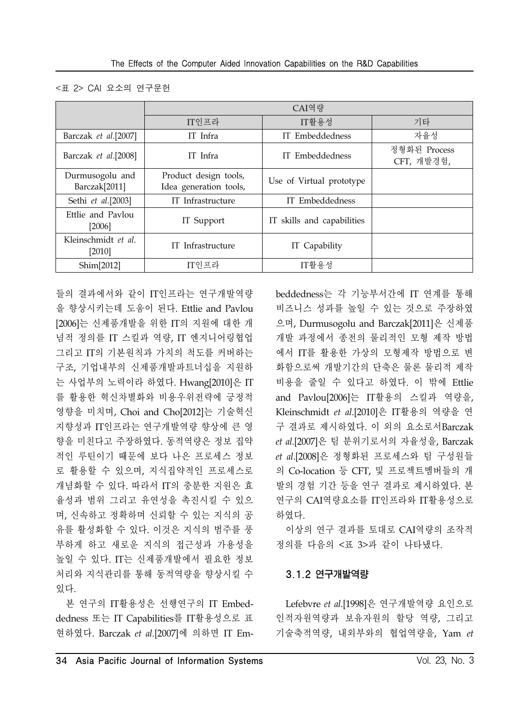#### <표 2> CAI 요소의 연구문헌

|                                              |                                                 | CAI역량                      |                            |
|----------------------------------------------|-------------------------------------------------|----------------------------|----------------------------|
|                                              | IT인프라                                           | IT활용성                      | 기타                         |
| Barczak et al.[2007]                         | IT Infra                                        | IT Embeddedness            | 자율성                        |
| Barczak et al.[2008]                         | IT Infra                                        | IT Embeddedness            | 정형화된 Process<br>CFT, 개발경험, |
| Durmusogolu and<br>Barczak <sup>[2011]</sup> | Product design tools,<br>Idea generation tools, | Use of Virtual prototype   |                            |
| Sethi et al.[2003]                           | IT Infrastructure                               | IT Embeddedness            |                            |
| Ettlie and Pavlou<br>[2006]                  | IT Support                                      | IT skills and capabilities |                            |
| Kleinschmidt et al.<br>$[2010]$              | IT Infrastructure                               | IT Capability              |                            |
| Shim[2012]                                   | IT인프라                                           | IT활용성                      |                            |

들의 결과에서와 같이 IT인프라는 연구개발역량 을 향상시키는데 도움이 된다. Ettlie and Pavlou [2006]는 신제품개발을 위한 IT의 지원에 대한 개 념적 정의를 IT 스킬과 역량, IT 엔지니어링협업 그리고 IT의 기본원칙과 가치의 척도를 커버하는 구조, 기업내부의 신제품개발파트너십을 지원하 는 사업부의 노력이라 하였다. Hwang[2010]은 IT 를 활용한 혁신차별화와 비용우위전략에 긍정적 영향을 미치며, Choi and Cho[2012]는 기술혁신 지향성과 IT인프라는 연구개발역량 향상에 큰 영 향을 미친다고 주장하였다. 동적역량은 정보 집약 적인 루틴이기 때문에 보다 나은 프로세스 정보 로 활용할 수 있으며, 지식집약적인 프로세스로 개념화할 수 있다. 따라서 IT의 충분한 지원은 효 율성과 범위 그리고 유연성을 촉진시킬 수 있으 며, 신속하고 정확하며 신뢰할 수 있는 지식의 공 유를 활성화할 수 있다. 이것은 지식의 범주를 풍 부하게 하고 새로운 지식의 접근성과 가용성을 높일 수 있다. IT는 신제품개발에서 필요한 정보 처리와 지식관리를 통해 동적역량을 향상시킬 수 있다.

본 연구의 IT활용성은 선행연구의 IT Embeddedness 또는 IT Capabilities를 IT활용성으로 표 현하였다. Barczak *et al*.[2007]에 의하면 IT Em-

beddedness는 각 기능부서간에 IT 연계를 통해 비즈니스 성과를 높일 수 있는 것으로 주장하였 으며, Durmusogolu and Barczak[2011]은 신제품 개발 과정에서 종전의 물리적인 모형 제작 방법 에서 IT를 활용한 가상의 모형제작 방법으로 변 화함으로써 개발기간의 단축은 물론 물리적 제작 비용을 줄일 수 있다고 하였다. 이 밖에 Ettlie and Pavlou[2006]는 IT활용의 스킬과 역량을, Kleinschmidt *et al*.[2010]은 IT활용의 역량을 연 구 결과로 제시하였다. 이 외의 요소로서Barczak *et al*.[2007]은 팀 분위기로서의 자율성을, Barczak *et al*.[2008]은 정형화된 프로세스와 팀 구성원들 의 Co-location 등 CFT, 및 프로젝트멤버들의 개 발의 경험 기간 등을 연구 결과로 제시하였다. 본 연구의 CAI역량요소를 IT인프라와 IT활용성으로 하였다.

이상의 연구 결과를 토대로 CAI역량의 조작적 정의를 다음의 <표 3>과 같이 나타냈다.

### 3.1.2 연구개발역량

Lefebvre *et al*.[1998]은 연구개발역량 요인으로 인적자원역량과 보유자원의 할당 역량, 그리고 기술축적역량, 내외부와의 협업역량을, Yam *et*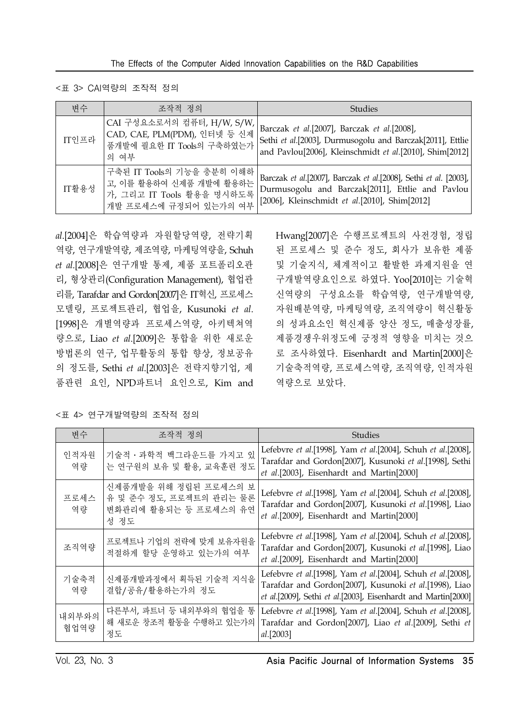<표 3> CAI역량의 조작적 정의

| 변수    | 조작적 정의                                                                                                     | <b>Studies</b>                                                                                                                                                        |
|-------|------------------------------------------------------------------------------------------------------------|-----------------------------------------------------------------------------------------------------------------------------------------------------------------------|
| IT인프라 | CAI 구성요소로서의 컴퓨터, H/W, S/W,<br>CAD, CAE, PLM(PDM), 인터넷 등 신제<br>품개발에 필요한 IT Tools의 구축하였는가<br>의 여부            | Barczak et al.[2007], Barczak et al.[2008],<br>Sethi et al.[2003], Durmusogolu and Barczak[2011], Ettlie<br>and Pavlou[2006], Kleinschmidt et al.[2010], Shim[2012]   |
| IT활용성 | 구축된 IT Tools의 기능을 충분히 이해하<br>고, 이를 활용하여 신제품 개발에 활용하는<br>가, 그리고 IT Tools 활용을 명시하도록<br>개발 프로세스에 규정되어 있는가의 여부 | Barczak et al.[2007], Barczak et al.[2008], Sethi et al. [2003],<br>Durmusogolu and Barczak[2011], Ettlie and Pavlou<br>[2006], Kleinschmidt et al.[2010], Shim[2012] |

*al*.[2004]은 학습역량과 자원할당역량, 전략기획 역량, 연구개발역량, 제조역량, 마케팅역량을, Schuh *et al*.[2008]은 연구개발 통제, 제품 포트폴리오관 리, 형상관리(Configuration Management), 협업관 리를, Tarafdar and Gordon[2007]은 IT혁신, 프로세스 모델링, 프로젝트관리, 협업을, Kusunoki *et al*. [1998]은 개별역량과 프로세스역량, 아키텍쳐역 량으로, Liao *et al*.[2009]은 통합을 위한 새로운 방법론의 연구, 업무활동의 통합 향상, 정보공유 의 정도를, Sethi *et al*.[2003]은 전략지향기업, 제 품관련 요인, NPD파트너 요인으로, Kim and Hwang[2007]은 수행프로젝트의 사전경험, 정립 된 프로세스 및 준수 정도, 회사가 보유한 제품 및 기술지식, 체계적이고 활발한 과제지원을 연 구개발역량요인으로 하였다. Yoo[2010]는 기술혁 신역량의 구성요소를 학습역량, 연구개발역량, 자원배분역량, 마케팅역량, 조직역량이 혁신활동 의 성과요소인 혁신제품 양산 정도, 매출성장률, 제품경쟁우위정도에 긍정적 영향을 미치는 것으 로 조사하였다. Eisenhardt and Martin[2000]은 기술축적역량, 프로세스역량, 조직역량, 인적자원 역량으로 보았다.

| 변수            | 조작적 정의                                                                            | Studies                                                                                                                                                                                 |
|---------------|-----------------------------------------------------------------------------------|-----------------------------------------------------------------------------------------------------------------------------------------------------------------------------------------|
| 인적자원<br>역량    | 기술적 · 과학적 백그라운드를 가지고 있<br>는 연구원의 보유 및 활용, 교육훈련 정도                                 | Lefebvre et al.[1998], Yam et al.[2004], Schuh et al.[2008],<br>Tarafdar and Gordon[2007], Kusunoki et al.[1998], Sethi<br>et al.[2003], Eisenhardt and Martin[2000]                    |
| 프로세스<br>역량    | 신제품개발을 위해 정립된 프로세스의 보<br>유 및 준수 정도, 프로젝트의 관리는 물론<br>변화관리에 활용되는 등 프로세스의 유연<br>성 정도 | Lefebvre et al.[1998], Yam et al.[2004], Schuh et al.[2008],<br>Tarafdar and Gordon <sup>[2007]</sup> , Kusunoki et al.[1998], Liao<br>et al.[2009], Eisenhardt and Martin[2000]        |
| 조직역량          | 프로젝트나 기업의 전략에 맞게 보유자원을<br>적절하게 할당 운영하고 있는가의 여부                                    | Lefebvre et al.[1998], Yam et al.[2004], Schuh et al.[2008],<br>Tarafdar and Gordon[2007], Kusunoki et al.[1998], Liao<br>et al.[2009], Eisenhardt and Martin[2000]                     |
| 기술축적<br>역량    | 신제품개발과정에서 획득된 기술적 지식을<br>결합/공유/활용하는가의 정도                                          | Lefebvre et al.[1998], Yam et al.[2004], Schuh et al.[2008],<br>Tarafdar and Gordon[2007], Kusunoki et al.[1998), Liao<br>et al.[2009], Sethi et al.[2003], Eisenhardt and Martin[2000] |
| 내외부와의<br>협업역량 | 다른부서, 파트너 등 내외부와의 협업을 통<br>해 새로운 창조적 활동을 수행하고 있는가의<br>정도                          | Lefebvre et al.[1998], Yam et al.[2004], Schuh et al.[2008],<br>Tarafdar and Gordon[2007], Liao et al.[2009], Sethi et<br>al.[2003]                                                     |

<표 4> 연구개발역량의 조작적 정의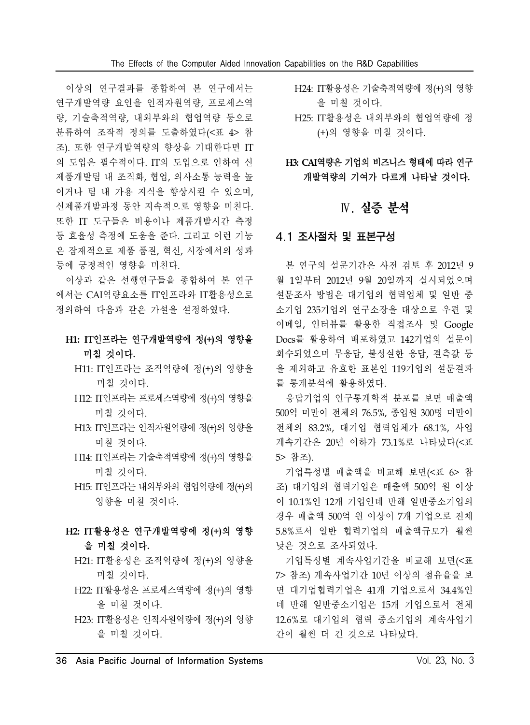이상의 연구결과를 종합하여 본 연구에서는 연구개발역량 요인을 인적자원역량, 프로세스역 량, 기술축적역량, 내외부와의 협업역량 등으로 분류하여 조작적 정의를 도출하였다(<표 4> 참 조). 또한 연구개발역량의 향상을 기대한다면 IT 의 도입은 필수적이다. IT의 도입으로 인하여 신 제품개발팀 내 조직화, 협업, 의사소통 능력을 높 이거나 팀 내 가용 지식을 향상시킬 수 있으며, 신제품개발과정 동안 지속적으로 영향을 미친다. 또한 IT 도구들은 비용이나 제품개발시간 측정 등 효율성 측정에 도움을 준다. 그리고 이런 기능 은 잠재적으로 제품 품질, 혁신, 시장에서의 성과 등에 긍정적인 영향을 미친다.

이상과 같은 선행연구들을 종합하여 본 연구 에서는 CAI역량요소를 IT인프라와 IT활용성으로 정의하여 다음과 같은 가설을 설정하였다.

# **H1: IT**인프라는 연구개발역량에 정**(+)**의 영향을 미칠 것이다**.**

- H11: IT인프라는 조직역량에 정(+)의 영향을 미칠 것이다.
- H12: IT인프라는 프로세스역량에 정(+)의 영향을 미칠 것이다.
- H13: IT인프라는 인적자원역량에 정(+)의 영향을 미칠 것이다.
- H14: IT인프라는 기술축적역량에 정(+)의 영향을 미칠 것이다.
- H15: IT인프라는 내외부와의 협업역량에 정(+)의 영향을 미칠 것이다.

# **H2: IT**활용성은 연구개발역량에 정**(+)**의 영향 을 미칠 것이다**.**

- H21: IT활용성은 조직역량에 정(+)의 영향을 미칠 것이다.
- H22: IT활용성은 프로세스역량에 정(+)의 영향 을 미칠 것이다.
- H23: IT활용성은 인적자원역량에 정(+)의 영향 을 미칠 것이다.
- H24: IT활용성은 기술축적역량에 정(+)의 영향 을 미칠 것이다.
- H25: IT활용성은 내외부와의 협업역량에 정 (+)의 영향을 미칠 것이다.

**H3: CAI**역량은 기업의 비즈니스 형태에 따라 연구 개발역량의 기여가 다르게 나타날 것이다**.**

# Ⅳ. 실증 분석

### 4.1 조사절차 및 표본구성

본 연구의 설문기간은 사전 검토 후 2012년 9 월 1일부터 2012년 9월 20일까지 실시되었으며 설문조사 방법은 대기업의 협력업체 및 일반 중 소기업 235기업의 연구소장을 대상으로 우편 및 이메일, 인터뷰를 활용한 직접조사 및 Google Docs를 활용하여 배포하였고 142기업의 설문이 회수되었으며 무응답, 불성실한 응답, 결측값 등 을 제외하고 유효한 표본인 119기업의 설문결과 를 통계분석에 활용하였다.

응답기업의 인구통계학적 분포를 보면 매출액 500억 미만이 전체의 76.5%, 종업원 300명 미만이 전체의 83.2%, 대기업 협력업체가 68.1%, 사업 계속기간은 20년 이하가 73.1%로 나타났다(<표 5> 참조).

기업특성별 매출액을 비교해 보면(<표 6> 참 조) 대기업의 협력기업은 매출액 500억 원 이상 이 10.1%인 12개 기업인데 반해 일반중소기업의 경우 매출액 500억 원 이상이 7개 기업으로 전체 5.8%로서 일반 협력기업의 매출액규모가 훨씬 낮은 것으로 조사되었다.

기업특성별 계속사업기간을 비교해 보면(<표 7> 참조) 계속사업기간 10년 이상의 점유율을 보 면 대기업협력기업은 41개 기업으로서 34.4%인 데 반해 일반중소기업은 15개 기업으로서 전체 12.6%로 대기업의 협력 중소기업의 계속사업기 간이 훨씬 더 긴 것으로 나타났다.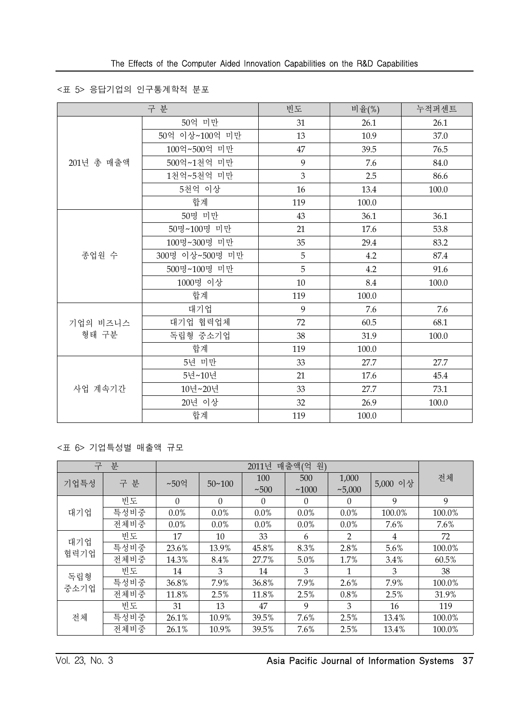### <표 5> 응답기업의 인구통계학적 분포

|            | 구 분             | 빈도  | 비율(%) | 누적퍼센트 |
|------------|-----------------|-----|-------|-------|
|            | 50억 미만          | 31  | 26.1  | 26.1  |
|            | 50억 이상~100억 미만  | 13  | 10.9  | 37.0  |
|            | 100억~500억 미만    | 47  | 39.5  | 76.5  |
| 201년 총 매출액 | 500억~1천억 미만     | 9   | 7.6   | 84.0  |
|            | 1천억~5천억 미만      | 3   | 2.5   | 86.6  |
|            | 5천억 이상          | 16  | 13.4  | 100.0 |
|            | 합계              | 119 | 100.0 |       |
|            | 50명 미만          | 43  | 36.1  | 36.1  |
|            | 50명~100명 미만     | 21  | 17.6  | 53.8  |
|            | 100명~300명 미만    | 35  | 29.4  | 83.2  |
| 종업원 수      | 300명 이상~500명 미만 | 5   | 4.2   | 87.4  |
|            | 500명~100명 미만    | 5   | 4.2   | 91.6  |
|            | 1000명 이상        | 10  | 8.4   | 100.0 |
|            | 합계              | 119 | 100.0 |       |
|            | 대기업             | 9   | 7.6   | 7.6   |
| 기업의 비즈니스   | 대기업 협력업체        | 72  | 60.5  | 68.1  |
| 형태 구분      | 독립형 중소기업        | 38  | 31.9  | 100.0 |
|            | 합계              | 119 | 100.0 |       |
|            | 5년 미만           | 33  | 27.7  | 27.7  |
|            | 5년~10년          | 21  | 17.6  | 45.4  |
| 사업 계속기간    | 10년~20년         | 33  | 27.7  | 73.1  |
|            | 20년 이상          | 32  | 26.9  | 100.0 |
|            | 합계              | 119 | 100.0 |       |

### <표 6> 기업특성별 매출액 규모

| 구    | 분    |          | 원)<br>매출액(억<br>2011년 |          |          |          |          |        |
|------|------|----------|----------------------|----------|----------|----------|----------|--------|
| 기업특성 | 구 분  | ~50억     | $50 - 100$           | 100      | 500      | 1,000    | 5,000 이상 | 전체     |
|      |      |          |                      | ~100     | ~1000    | ~1000    |          |        |
|      | 빈도   | $\Omega$ | $\theta$             | $\theta$ | $\Omega$ | $\theta$ | 9        | 9      |
| 대기업  | 특성비중 | $0.0\%$  | $0.0\%$              | $0.0\%$  | $0.0\%$  | $0.0\%$  | 100.0%   | 100.0% |
|      | 전체비중 | $0.0\%$  | $0.0\%$              | $0.0\%$  | $0.0\%$  | $0.0\%$  | 7.6%     | 7.6%   |
| 대기업  | 빈도   | 17       | 10                   | 33       | 6        | 2        | 4        | 72     |
| 협력기업 | 특성비중 | 23.6%    | 13.9%                | 45.8%    | 8.3%     | 2.8%     | 5.6%     | 100.0% |
|      | 전체비중 | 14.3%    | 8.4%                 | 27.7%    | 5.0%     | 1.7%     | $3.4\%$  | 60.5%  |
| 독립형  | 빈도   | 14       | 3                    | 14       | 3        | 1        | 3        | 38     |
| 중소기업 | 특성비중 | 36.8%    | 7.9%                 | 36.8%    | 7.9%     | $2.6\%$  | 7.9%     | 100.0% |
|      | 전체비중 | 11.8%    | 2.5%                 | 11.8%    | 2.5%     | 0.8%     | 2.5%     | 31.9%  |
| 전체   | 빈도   | 31       | 13                   | 47       | 9        | 3        | 16       | 119    |
|      | 특성비중 | 26.1%    | 10.9%                | 39.5%    | 7.6%     | 2.5%     | 13.4%    | 100.0% |
|      | 전체비중 | 26.1%    | 10.9%                | 39.5%    | 7.6%     | 2.5%     | 13.4%    | 100.0% |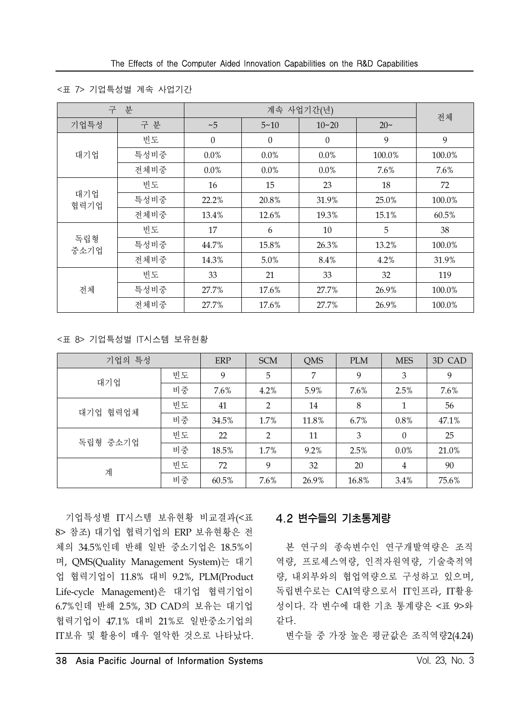<sup>&</sup>lt;표 7> 기업특성별 계속 사업기간

| 구           | 분    |                  |                  | 계속 사업기간(년) |          | 전체     |
|-------------|------|------------------|------------------|------------|----------|--------|
| 기업특성        | 구 분  | ~1               | $5 - 10$         | $10 - 20$  | $20\sim$ |        |
|             | 빈도   | $\boldsymbol{0}$ | $\boldsymbol{0}$ | $\theta$   | 9        | 9      |
| 대기업         | 특성비중 | $0.0\%$          | $0.0\%$          | $0.0\%$    | 100.0%   | 100.0% |
|             | 전체비중 | $0.0\%$          | $0.0\%$          | $0.0\%$    | 7.6%     | 7.6%   |
|             | 빈도   | 16               | 15               | 23         | 18       | 72     |
| 대기업<br>협력기업 | 특성비중 | 22.2%            | 20.8%            | 31.9%      | 25.0%    | 100.0% |
|             | 전체비중 | 13.4%            | 12.6%            | 19.3%      | 15.1%    | 60.5%  |
|             | 빈도   | 17               | 6                | 10         | 5        | 38     |
| 독립형<br>중소기업 | 특성비중 | 44.7%            | 15.8%            | 26.3%      | 13.2%    | 100.0% |
|             | 전체비중 | 14.3%            | 5.0%             | 8.4%       | 4.2%     | 31.9%  |
| 전체          | 빈도   | 33               | 21               | 33         | 32       | 119    |
|             | 특성비중 | 27.7%            | 17.6%            | 27.7%      | 26.9%    | 100.0% |
|             | 전체비중 | 27.7%            | 17.6%            | 27.7%      | 26.9%    | 100.0% |

<표 8> 기업특성별 IT시스템 보유현황

| 기업의 특성      |    | ERP   | <b>SCM</b>     | QMS     | <b>PLM</b> | <b>MES</b>     | 3D CAD  |
|-------------|----|-------|----------------|---------|------------|----------------|---------|
| 대기업         | 빈도 | 9     | 5              | 7       | 9          | 3              | 9       |
|             | 비중 | 7.6%  | 4.2%           | 5.9%    | 7.6%       | 2.5%           | $7.6\%$ |
| 협력업체<br>대기업 | 빈도 | 41    | $\overline{2}$ | 14      | 8          | $\mathbf{1}$   | 56      |
|             | 비중 | 34.5% | 1.7%           | 11.8%   | 6.7%       | $0.8\%$        | 47.1%   |
| 독립형 중소기업    | 빈도 | 22    | $\overline{2}$ | 11      | 3          | $\theta$       | 25      |
|             | 비중 | 18.5% | 1.7%           | $9.2\%$ | 2.5%       | $0.0\%$        | 21.0%   |
| 계           | 빈도 | 72    | 9              | 32      | 20         | $\overline{4}$ | 90      |
|             | 비중 | 60.5% | 7.6%           | 26.9%   | 16.8%      | 3.4%           | 75.6%   |

기업특성별 IT시스템 보유현황 비교결과(<표 8> 참조) 대기업 협력기업의 ERP 보유현황은 전 체의 34.5%인데 반해 일반 중소기업은 18.5%이 며, QMS(Quality Management System)는 대기 업 협력기업이 11.8% 대비 9.2%, PLM(Product Life-cycle Management)은 대기업 협력기업이 6.7%인데 반해 2.5%, 3D CAD의 보유는 대기업 협력기업이 47.1% 대비 21%로 일반중소기업의 IT보유 및 활용이 매우 열악한 것으로 나타났다.

### 4.2 변수들의 기초통계량

본 연구의 종속변수인 연구개발역량은 조직 역량, 프로세스역량, 인적자원역량, 기술축적역 량, 내외부와의 협업역량으로 구성하고 있으며, 독립변수로는 CAI역량으로서 IT인프라, IT활용 성이다. 각 변수에 대한 기초 통계량은 <표 9>와 같다.

변수들 중 가장 높은 평균값은 조직역량2(4.24)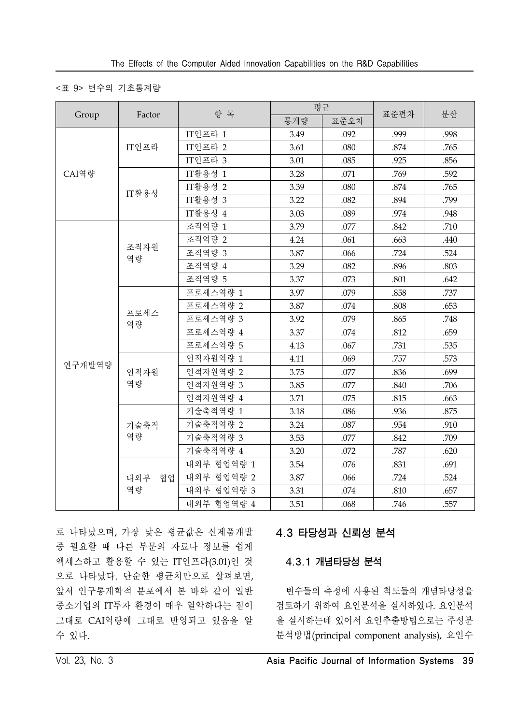### <표 9> 변수의 기초통계량

|        |            | 항 목          |      | 평균   |      | 분산   |
|--------|------------|--------------|------|------|------|------|
| Group  | Factor     |              | 통계량  | 표준오차 | 표준편차 |      |
|        |            | $IT$ 인프라 $1$ | 3.49 | .092 | .999 | .998 |
|        | IT인프라      | IT인프라 2      | 3.61 | .080 | .874 | .765 |
|        |            | IT인프라 3      | 3.01 | .085 | .925 | .856 |
| CAI역량  |            | IT활용성 1      | 3.28 | .071 | .769 | .592 |
|        | IT활용성      | IT활용성 2      | 3.39 | .080 | .874 | .765 |
|        |            | IT활용성 3      | 3.22 | .082 | .894 | .799 |
|        |            | IT활용성 4      | 3.03 | .089 | .974 | .948 |
|        |            | 조직역량 1       | 3.79 | .077 | .842 | .710 |
|        |            | 조직역량 2       | 4.24 | .061 | .663 | .440 |
|        | 조직자원<br>역량 | 조직역량 3       | 3.87 | .066 | .724 | .524 |
|        |            | 조직역량 4       | 3.29 | .082 | .896 | .803 |
|        |            | 조직역량 5       | 3.37 | .073 | .801 | .642 |
|        |            | 프로세스역량 1     | 3.97 | .079 | .858 | .737 |
|        |            | 프로세스역량 2     | 3.87 | .074 | .808 | .653 |
|        | 프로세스<br>역량 | 프로세스역량 3     | 3.92 | .079 | .865 | .748 |
|        |            | 프로세스역량 4     | 3.37 | .074 | .812 | .659 |
|        |            | 프로세스역량 5     | 4.13 | .067 | .731 | .535 |
|        |            | 인적자원역량 1     | 4.11 | .069 | .757 | .573 |
| 연구개발역량 | 인적자원       | 인적자원역량 2     | 3.75 | .077 | .836 | .699 |
|        | 역량         | 인적자원역량 3     | 3.85 | .077 | .840 | .706 |
|        |            | 인적자원역량 4     | 3.71 | .075 | .815 | .663 |
|        |            | 기술축적역량 1     | 3.18 | .086 | .936 | .875 |
|        | 기술축적       | 기술축적역량 2     | 3.24 | .087 | .954 | .910 |
|        | 역량         | 기술축적역량 3     | 3.53 | .077 | .842 | .709 |
|        |            | 기술축적역량 4     | 3.20 | .072 | .787 | .620 |
|        |            | 내외부 협업역량 1   | 3.54 | .076 | .831 | .691 |
|        | 내외부<br>협업  | 내외부 협업역량 2   | 3.87 | .066 | .724 | .524 |
|        | 역량         | 내외부 협업역량 3   | 3.31 | .074 | .810 | .657 |
|        |            | 내외부 협업역량 4   | 3.51 | .068 | .746 | .557 |

로 나타났으며, 가장 낮은 평균값은 신제품개발 중 필요할 때 다른 부문의 자료나 정보를 쉽게 엑세스하고 활용할 수 있는 IT인프라(3.01)인 것 으로 나타났다. 단순한 평균치만으로 살펴보면, 앞서 인구통계학적 분포에서 본 바와 같이 일반 중소기업의 IT투자 환경이 매우 열악하다는 점이 그대로 CAI역량에 그대로 반영되고 있음을 알 수 있다.

# 4.3 타당성과 신뢰성 분석

### 4.3.1 개념타당성 분석

변수들의 측정에 사용된 척도들의 개념타당성을 검토하기 위하여 요인분석을 실시하였다. 요인분석 을 실시하는데 있어서 요인추출방법으로는 주성분 분석방법(principal component analysis), 요인수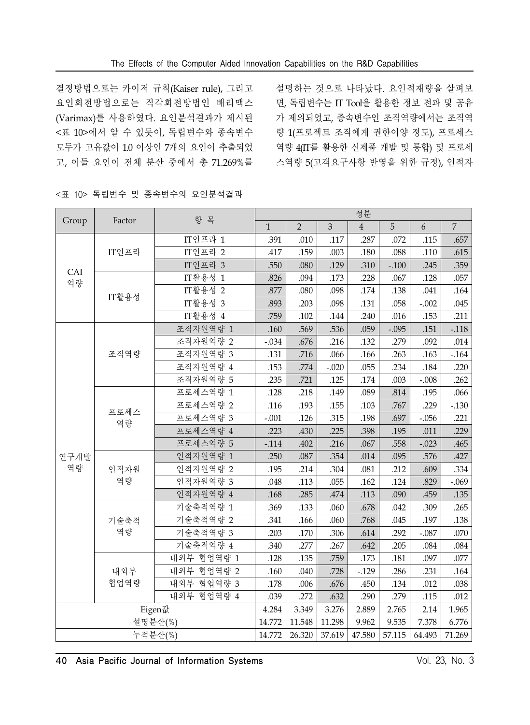결정방법으로는 카이저 규칙(Kaiser rule), 그리고 요인회전방법으로는 직각회전방법인 배리맥스 (Varimax)를 사용하였다. 요인분석결과가 제시된 <표 10>에서 알 수 있듯이, 독립변수와 종속변수 모두가 고유값이 1.0 이상인 7개의 요인이 추출되었 고, 이들 요인이 전체 분산 중에서 총 71.269%를

설명하는 것으로 나타났다. 요인적재량을 살펴보 면, 독립변수는 IT Tool을 활용한 정보 전파 및 공유 가 제외되었고, 종속변수인 조직역량에서는 조직역 량 1(프로젝트 조직에게 권한이양 정도), 프로세스 역량 4(IT를 활용한 신제품 개발 및 통합) 및 프로세 스역량 5(고객요구사항 반영을 위한 규정), 인적자

<표 10> 독립변수 및 종속변수의 요인분석결과

|         | Factor     | 항 목          | 성분           |                |         |                |          |         |                |
|---------|------------|--------------|--------------|----------------|---------|----------------|----------|---------|----------------|
| Group   |            |              | $\mathbf{1}$ | $\overline{2}$ | 3       | $\overline{4}$ | 5        | 6       | $\overline{7}$ |
|         |            | $IT$ 인프라 $1$ | .391         | .010           | .117    | .287           | .072     | .115    | .657           |
|         | IT인프라      | $IT$ 인프라 2   | .417         | .159           | .003    | .180           | .088     | .110    | .615           |
| CAI     |            | IT인프라 3      | .550         | .080           | .129    | .310           | $-.100$  | .245    | .359           |
| 역량      |            | IT활용성 1      | .826         | .094           | .173    | .228           | .067     | .128    | .057           |
|         | IT활용성      | IT활용성 2      | .877         | .080           | .098    | .174           | .138     | .041    | .164           |
|         |            | IT활용성 3      | .893         | .203           | .098    | .131           | .058     | $-.002$ | .045           |
|         |            | IT활용성 4      | .759         | .102           | .144    | .240           | .016     | .153    | .211           |
|         |            | 조직자원역량 1     | .160         | .569           | .536    | .059           | $-.095$  | .151    | $-.118$        |
|         |            | 조직자원역량 2     | $-.034$      | .676           | .216    | .132           | .279     | .092    | .014           |
|         | 조직역량       | 조직자원역량 3     | .131         | .716           | .066    | .166           | .263     | .163    | $-164$         |
|         |            | 조직자원역량 4     | .153         | .774           | $-.020$ | .055           | .234     | .184    | .220           |
|         |            | 조직자원역량 5     | .235         | .721           | .125    | .174           | .003     | $-.008$ | .262           |
|         | 프로세스<br>역량 | 프로세스역량 1     | .128         | .218           | .149    | .089           | $.814\,$ | .195    | .066           |
|         |            | 프로세스역량 2     | .116         | .193           | .155    | .103           | .767     | .229    | $-.130$        |
|         |            | 프로세스역량 3     | $-.001$      | .126           | .315    | .198           | .697     | $-.056$ | .221           |
|         |            | 프로세스역량 4     | .223         | .430           | .225    | .398           | .195     | .011    | .229           |
|         |            | 프로세스역량 5     | $-.114$      | .402           | .216    | .067           | .558     | $-.023$ | .465           |
| 연구개발    |            | 인적자원역량 1     | .250         | .087           | .354    | .014           | .095     | .576    | .427           |
| 역량      | 인적자원       | 인적자원역량 2     | .195         | .214           | .304    | .081           | .212     | .609    | .334           |
|         | 역량         | 인적자원역량 3     | .048         | .113           | .055    | .162           | .124     | .829    | $-.069$        |
|         |            | 인적자원역량 4     | .168         | .285           | .474    | .113           | .090     | .459    | .135           |
|         |            | 기술축적역량 1     | .369         | .133           | .060    | .678           | .042     | .309    | .265           |
|         | 기술축적       | 기술축적역량 2     | .341         | .166           | .060    | .768           | .045     | .197    | .138           |
|         | 역량         | 기술축적역량 3     | .203         | .170           | .306    | .614           | .292     | $-.087$ | .070           |
|         |            | 기술축적역량 4     | .340         | .277           | .267    | .642           | .205     | .084    | .084           |
|         |            | 내외부 협업역량 1   | .128         | .135           | .759    | .173           | .181     | .097    | .077           |
|         | 내외부        | 내외부 협업역량 2   | .160         | .040           | .728    | $-0.129$       | .286     | .231    | .164           |
|         | 협업역량       | 내외부 협업역량 3   | .178         | .006           | .676    | .450           | .134     | .012    | .038           |
|         |            | 내외부 협업역량 4   | .039         | .272           | .632    | .290           | .279     | .115    | .012           |
|         | Eigen값     |              | 4.284        | 3.349          | 3.276   | 2.889          | 2.765    | 2.14    | 1.965          |
|         |            | 설명분산(%)      | 14.772       | 11.548         | 11.298  | 9.962          | 9.535    | 7.378   | 6.776          |
| 누적분산(%) |            | 14.772       | 26.320       | 37.619         | 47.580  | 57.115         | 64.493   | 71.269  |                |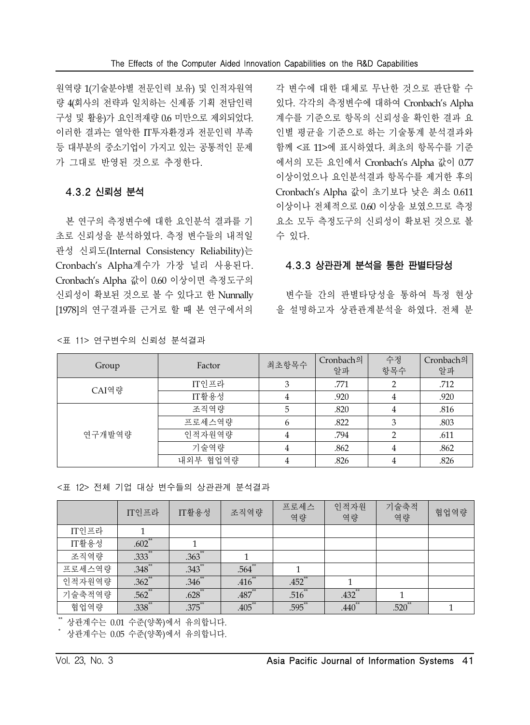원역량 1(기술분야별 전문인력 보유) 및 인적자원역 량 4(회사의 전략과 일치하는 신제품 기획 전담인력 구성 및 활용)가 요인적재량 0.6 미만으로 제외되었다. 이러한 결과는 열악한 IT투자환경과 전문인력 부족 등 대부분의 중소기업이 가지고 있는 공통적인 문제 가 그대로 반영된 것으로 추정한다.

#### 4.3.2 신뢰성 분석

본 연구의 측정변수에 대한 요인분석 결과를 기 초로 신뢰성을 분석하였다. 측정 변수들의 내적일 관성 신뢰도(Internal Consistency Reliability)는 Cronbach's Alpha계수가 가장 널리 사용된다. Cronbach's Alpha 값이 0.60 이상이면 측정도구의 신뢰성이 확보된 것으로 볼 수 있다고 한 Nunnally [1978]의 연구결과를 근거로 할 때 본 연구에서의

<표 11> 연구변수의 신뢰성 분석결과

각 변수에 대한 대체로 무난한 것으로 판단할 수 있다. 각각의 측정변수에 대하여 Cronbach's Alpha 계수를 기준으로 항목의 신뢰성을 확인한 결과 요 인별 평균을 기준으로 하는 기술통계 분석결과와 함께 <표 11>에 표시하였다. 최초의 항목수를 기준 에서의 모든 요인에서 Cronbach's Alpha 값이 0.77 이상이었으나 요인분석결과 항목수를 제거한 후의 Cronbach's Alpha 값이 초기보다 낮은 최소 0.611 이상이나 전체적으로 0.60 이상을 보였으므로 측정 요소 모두 측정도구의 신뢰성이 확보된 것으로 볼 수 있다.

#### 4.3.3 상관관계 분석을 통한 판별타당성

변수들 간의 판별타당성을 통하여 특정 현상 을 설명하고자 상관관계분석을 하였다. 전체 분

| Group  | Factor   | 최초항목수 | Cronbach의<br>알파 | 수정<br>항목수      | Cronbach의<br>알파 |
|--------|----------|-------|-----------------|----------------|-----------------|
| CAI역량  | IT인프라    | 3     | .771            | $\overline{2}$ | .712            |
|        | IT활용성    | 4     | .920            | 4              | .920            |
|        | 조직역량     | 5     | .820            | 4              | .816            |
|        | 프로세스역량   | 6     | .822            | 3              | .803            |
| 연구개발역량 | 인적자원역량   | 4     | .794            | $\overline{2}$ | .611            |
|        | 기술역량     | 4     | .862            | 4              | .862            |
|        | 내외부 협업역량 | 4     | .826            | 4              | .826            |

<표 12> 전체 기업 대상 변수들의 상관관계 분석결과

|        | IT인프라       | IT활용성                | 조직역량                 | 프로세스<br>역량 | 인적자원<br>역량  | 기술축적<br>역량  | 협업역량 |
|--------|-------------|----------------------|----------------------|------------|-------------|-------------|------|
| IT인프라  |             |                      |                      |            |             |             |      |
| IT활용성  | $.602$ **   |                      |                      |            |             |             |      |
| 조직역량   | $.333^{**}$ | $.363$ <sup>**</sup> |                      |            |             |             |      |
| 프로세스역량 | $.348$ **   | $.343$ <sup>**</sup> | $.564$ **            |            |             |             |      |
| 인적자원역량 | $.362$ **   | $.346^{**}$          | $.416$ **            | $.452$ **  |             |             |      |
| 기술축적역량 | $.562$ **   | $.628$ **            | $.487$ <sup>**</sup> | $.516$ **  | $.432$ **   |             |      |
| 협업역량   | $.338***$   | $.375$ **            | $.405***$            | $.595$ *   | $.440^{**}$ | $.520^{10}$ |      |

\*\* 상관계수는 0.01 수준(양쪽)에서 유의합니다.

\* 상관계수는 0.05 수준(양쪽)에서 유의합니다.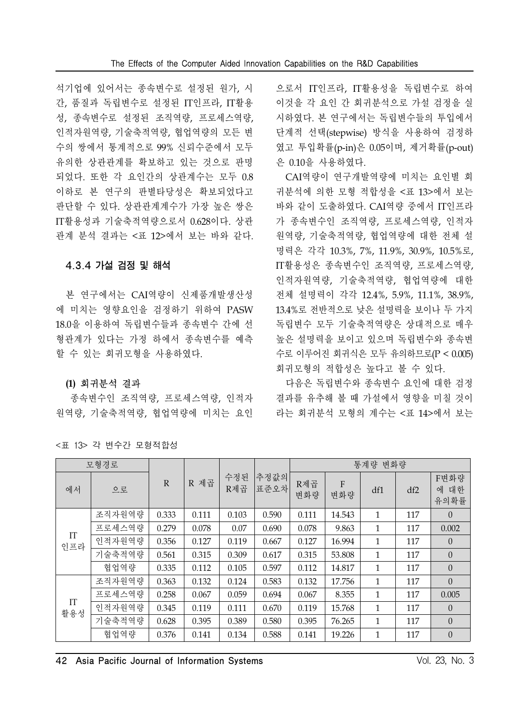석기업에 있어서는 종속변수로 설정된 원가, 시 간, 품질과 독립변수로 설정된 IT인프라, IT활용 성, 종속변수로 설정된 조직역량, 프로세스역량, 인적자원역량, 기술축적역량, 협업역량의 모든 변 수의 쌍에서 통계적으로 99% 신뢰수준에서 모두 유의한 상관관계를 확보하고 있는 것으로 판명 되었다. 또한 각 요인간의 상관계수는 모두 0.8 이하로 본 연구의 판별타당성은 확보되었다고 판단할 수 있다. 상관관계계수가 가장 높은 쌍은 IT활용성과 기술축적역량으로서 0.628이다. 상관 관계 분석 결과는 <표 12>에서 보는 바와 같다.

### 4.3.4 가설 검정 및 해석

본 연구에서는 CAI역량이 신제품개발생산성 에 미치는 영향요인을 검정하기 위하여 PASW 18.0을 이용하여 독립변수들과 종속변수 간에 선 형관계가 있다는 가정 하에서 종속변수를 예측 할 수 있는 회귀모형을 사용하였다.

### **(1)** 회귀분석 결과

종속변수인 조직역량, 프로세스역량, 인적자 원역량, 기술축적역량, 협업역량에 미치는 요인

으로서 IT인프라, IT활용성을 독립변수로 하여 이것을 각 요인 간 회귀분석으로 가설 검정을 실 시하였다. 본 연구에서는 독립변수들의 투입에서 단계적 선택(stepwise) 방식을 사용하여 검정하 였고 투입확률(p-in)은 0.05이며, 제거확률(p-out) 은 0.10을 사용하였다.

CAI역량이 연구개발역량에 미치는 요인별 회 귀분석에 의한 모형 적합성을 <표 13>에서 보는 바와 같이 도출하였다. CAI역량 중에서 IT인프라 가 종속변수인 조직역량, 프로세스역량, 인적자 원역량, 기술축적역량, 협업역량에 대한 전체 설 명력은 각각 10.3%, 7%, 11.9%, 30.9%, 10.5%로, IT활용성은 종속변수인 조직역량, 프로세스역량, 인적자원역량, 기술축적역량, 협업역량에 대한 전체 설명력이 각각 12.4%, 5.9%, 11.1%, 38.9%, 13.4%로 전반적으로 낮은 설명력을 보이나 두 가지 독립변수 모두 기술축적역량은 상대적으로 매우 높은 설명력을 보이고 있으며 독립변수와 종속변 수로 이루어진 회귀식은 모두 유의하므로(P < 0.005) 회귀모형의 적합성은 높다고 볼 수 있다.

다음은 독립변수와 종속변수 요인에 대한 검정 결과를 유추해 볼 때 가설에서 영향을 미칠 것이 라는 회귀분석 모형의 계수는 <표 14>에서 보는

| 모형경로      |        |              |       |            |              | 통계량 변화량    |          |              |     |                      |  |
|-----------|--------|--------------|-------|------------|--------------|------------|----------|--------------|-----|----------------------|--|
| 에서        | 으로     | $\mathbb{R}$ | R 제곱  | 수정된<br>R제곱 | 추정값의<br>표준오차 | R제곱<br>변화량 | F<br>변화량 | df1          | df2 | F변화량<br>에 대한<br>유의확률 |  |
| IT<br>인프라 | 조직자원역량 | 0.333        | 0.111 | 0.103      | 0.590        | 0.111      | 14.543   | 1            | 117 | $\overline{0}$       |  |
|           | 프로세스역량 | 0.279        | 0.078 | 0.07       | 0.690        | 0.078      | 9.863    | 1            | 117 | 0.002                |  |
|           | 인적자원역량 | 0.356        | 0.127 | 0.119      | 0.667        | 0.127      | 16.994   | 1            | 117 | $\Omega$             |  |
|           | 기술축적역량 | 0.561        | 0.315 | 0.309      | 0.617        | 0.315      | 53.808   | $\mathbf{1}$ | 117 | $\overline{0}$       |  |
|           | 협업역량   | 0.335        | 0.112 | 0.105      | 0.597        | 0.112      | 14.817   | 1            | 117 | $\overline{0}$       |  |
|           | 조직자원역량 | 0.363        | 0.132 | 0.124      | 0.583        | 0.132      | 17.756   | $\mathbf{1}$ | 117 | $\Omega$             |  |
|           | 프로세스역량 | 0.258        | 0.067 | 0.059      | 0.694        | 0.067      | 8.355    | 1            | 117 | 0.005                |  |
| IT<br>활용성 | 인적자원역량 | 0.345        | 0.119 | 0.111      | 0.670        | 0.119      | 15.768   | 1            | 117 | $\overline{0}$       |  |
|           | 기술축적역량 | 0.628        | 0.395 | 0.389      | 0.580        | 0.395      | 76.265   | $\mathbf{1}$ | 117 | $\Omega$             |  |
|           | 협업역량   | 0.376        | 0.141 | 0.134      | 0.588        | 0.141      | 19.226   | 1            | 117 | $\overline{0}$       |  |

<표 13> 각 변수간 모형적합성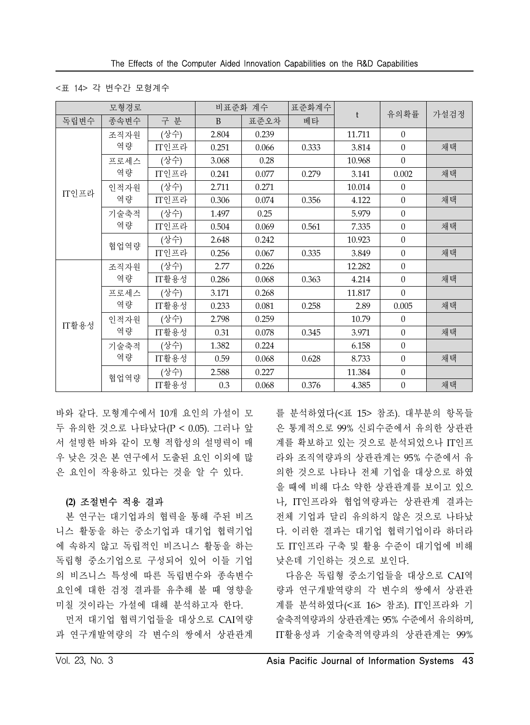#### <표 14> 각 변수간 모형계수

| 모형경로  |            |       |       | 비표준화 계수 | 표준화계수 |        |                  | 가설검정 |  |
|-------|------------|-------|-------|---------|-------|--------|------------------|------|--|
| 독립변수  | 종속변수       | 구 분   | B     | 표준오차    | 베타    | t      | 유의확률             |      |  |
| IT인프라 | 조직자원<br>역량 | (상수)  | 2.804 | 0.239   |       | 11.711 | $\overline{0}$   |      |  |
|       |            | IT인프라 | 0.251 | 0.066   | 0.333 | 3.814  | $\theta$         | 채택   |  |
|       | 프로세스       | (상수)  | 3.068 | 0.28    |       | 10.968 | $\overline{0}$   |      |  |
|       | 역량         | IT인프라 | 0.241 | 0.077   | 0.279 | 3.141  | 0.002            | 채택   |  |
|       | 인적자원       | (상수)  | 2.711 | 0.271   |       | 10.014 | $\Omega$         |      |  |
|       | 역량         | IT인프라 | 0.306 | 0.074   | 0.356 | 4.122  | $\boldsymbol{0}$ | 채택   |  |
|       | 기술축적<br>역량 | (상수)  | 1.497 | 0.25    |       | 5.979  | $\theta$         |      |  |
|       |            | IT인프라 | 0.504 | 0.069   | 0.561 | 7.335  | $\overline{0}$   | 채택   |  |
|       | 협업역량       | (상수)  | 2.648 | 0.242   |       | 10.923 | $\overline{0}$   |      |  |
|       |            | IT인프라 | 0.256 | 0.067   | 0.335 | 3.849  | $\theta$         | 채택   |  |
|       | 조직자원<br>역량 | (상수)  | 2.77  | 0.226   |       | 12.282 | $\theta$         |      |  |
|       |            | IT활용성 | 0.286 | 0.068   | 0.363 | 4.214  | $\theta$         | 채택   |  |
|       | 프로세스       | (상수)  | 3.171 | 0.268   |       | 11.817 | $\overline{0}$   |      |  |
|       | 역량         | IT활용성 | 0.233 | 0.081   | 0.258 | 2.89   | 0.005            | 채택   |  |
|       | 인적자원       | (상수)  | 2.798 | 0.259   |       | 10.79  | $\theta$         |      |  |
| IT활용성 | 역량         | IT활용성 | 0.31  | 0.078   | 0.345 | 3.971  | $\theta$         | 채택   |  |
|       | 기술축적       | (상수)  | 1.382 | 0.224   |       | 6.158  | $\theta$         |      |  |
|       | 역량         | IT활용성 | 0.59  | 0.068   | 0.628 | 8.733  | $\theta$         | 채택   |  |
|       |            | (상수)  | 2.588 | 0.227   |       | 11.384 | $\theta$         |      |  |
|       | 협업역량       | IT활용성 | 0.3   | 0.068   | 0.376 | 4.385  | $\boldsymbol{0}$ | 채택   |  |

바와 같다. 모형계수에서 10개 요인의 가설이 모 두 유의한 것으로 나타났다(P < 0.05). 그러나 앞 서 설명한 바와 같이 모형 적합성의 설명력이 매 우 낮은 것은 본 연구에서 도출된 요인 이외에 많 은 요인이 작용하고 있다는 것을 알 수 있다.

### **(2)** 조절변수 적용 결과

본 연구는 대기업과의 협력을 통해 주된 비즈 니스 활동을 하는 중소기업과 대기업 협력기업 에 속하지 않고 독립적인 비즈니스 활동을 하는 독립형 중소기업으로 구성되어 있어 이들 기업 의 비즈니스 특성에 따른 독립변수와 종속변수 요인에 대한 검정 결과를 유추해 볼 때 영향을 미칠 것이라는 가설에 대해 분석하고자 한다.

먼저 대기업 협력기업들을 대상으로 CAI역량 과 연구개발역량의 각 변수의 쌍에서 상관관계

를 분석하였다(<표 15> 참조). 대부분의 항목들 은 통계적으로 99% 신뢰수준에서 유의한 상관관 계를 확보하고 있는 것으로 분석되었으나 IT인프 라와 조직역량과의 상관관계는 95% 수준에서 유 의한 것으로 나타나 전체 기업을 대상으로 하였 을 때에 비해 다소 약한 상관관계를 보이고 있으 나, IT인프라와 협업역량과는 상관관계 결과는 전체 기업과 달리 유의하지 않은 것으로 나타났 다. 이러한 결과는 대기업 협력기업이라 하더라 도 IT인프라 구축 및 활용 수준이 대기업에 비해 낮은데 기인하는 것으로 보인다.

다음은 독립형 중소기업들을 대상으로 CAI역 량과 연구개발역량의 각 변수의 쌍에서 상관관 계를 분석하였다(<표 16> 참조). IT인프라와 기 술축적역량과의 상관관계는 95% 수준에서 유의하며, IT활용성과 기술축적역량과의 상관관계는 99%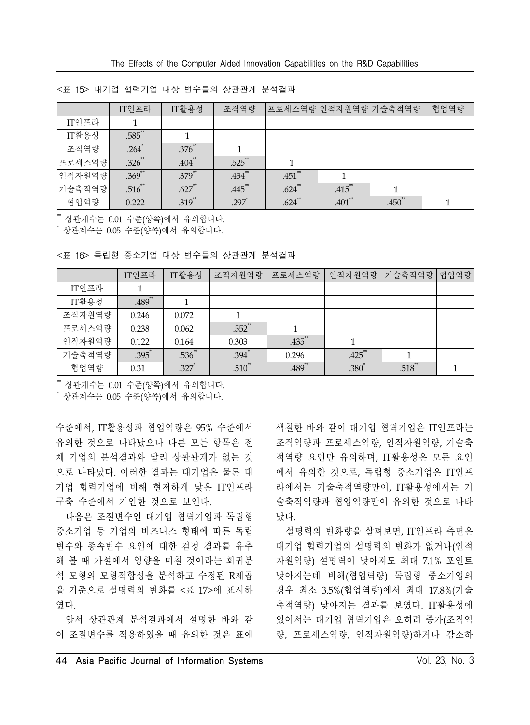|        | IT인프라               | IT활용성       | 조직역량                 | 프로세스역량 인적자원역량 기술축적역량 |           |             | 협업역량 |
|--------|---------------------|-------------|----------------------|----------------------|-----------|-------------|------|
| IT인프라  |                     |             |                      |                      |           |             |      |
| IT활용성  | $.585$ **           |             |                      |                      |           |             |      |
| 조직역량   | $.264$ <sup>*</sup> | $.376^{**}$ |                      |                      |           |             |      |
| 프로세스역량 | $.326$ **           | $.404$ **   | $.525$ **            |                      |           |             |      |
| 인적자원역량 | $.369$ **           | $.379^{**}$ | $.434$ <sup>**</sup> | $.451$ **            |           |             |      |
| 기술축적역량 | $.516$ **           | $.627$ **   | .445**               | $.624$ **            | .415      |             |      |
| 협업역량   | 0.222               | $.319$ **   | $.297*$              | $.624$ **            | $.401$ ** | $.450^{**}$ |      |

<표 15> 대기업 협력기업 대상 변수들의 상관관계 분석결과

\*\* 상관계수는 0.01 수준(양쪽)에서 유의합니다.

\* 상관계수는 0.05 수준(양쪽)에서 유의합니다.

|  |  |  |  |  |  |  | <표 16> 독립형 중소기업 대상 변수들의 상관관계 분석결과 |  |
|--|--|--|--|--|--|--|-----------------------------------|--|
|--|--|--|--|--|--|--|-----------------------------------|--|

|        | IT인프라    | IT활용성       | 조직자원역량      | 프로세스역량               | 인적자원역량    | 기술축적역량 | 협업역량 |
|--------|----------|-------------|-------------|----------------------|-----------|--------|------|
| IT인프라  |          |             |             |                      |           |        |      |
| IT활용성  | $.489**$ |             |             |                      |           |        |      |
| 조직자원역량 | 0.246    | 0.072       |             |                      |           |        |      |
| 프로세스역량 | 0.238    | 0.062       | $.552$ **   |                      |           |        |      |
| 인적자원역량 | 0.122    | 0.164       | 0.303       | .435**               |           |        |      |
| 기술축적역량 | $.395^*$ | $.536^{**}$ | .394        | 0.296                | $.425$ ** |        |      |
| 협업역량   | 0.31     | .327        | $.510^{**}$ | $.489$ <sup>**</sup> | .380*     | .518   |      |

\*\* 상관계수는 0.01 수준(양쪽)에서 유의합니다.

\* 상관계수는 0.05 수준(양쪽)에서 유의합니다.

수준에서, IT활용성과 협업역량은 95% 수준에서 유의한 것으로 나타났으나 다른 모든 항목은 전 체 기업의 분석결과와 달리 상관관계가 없는 것 으로 나타났다. 이러한 결과는 대기업은 물론 대 기업 협력기업에 비해 현저하게 낮은 IT인프라 구축 수준에서 기인한 것으로 보인다.

다음은 조절변수인 대기업 협력기업과 독립형 중소기업 등 기업의 비즈니스 형태에 따른 독립 변수와 종속변수 요인에 대한 검정 결과를 유추 해 볼 때 가설에서 영향을 미칠 것이라는 회귀분 석 모형의 모형적합성을 분석하고 수정된 R제곱 을 기준으로 설명력의 변화를 <표 17>에 표시하 였다.

앞서 상관관계 분석결과에서 설명한 바와 같 이 조절변수를 적용하였을 때 유의한 것은 표에 색칠한 바와 같이 대기업 협력기업은 IT인프라는 조직역량과 프로세스역량, 인적자원역량, 기술축 적역량 요인만 유의하며, IT활용성은 모든 요인 에서 유의한 것으로, 독립형 중소기업은 IT인프 라에서는 기술축적역량만이, IT활용성에서는 기 술축적역량과 협업역량만이 유의한 것으로 나타 났다.

설명력의 변화량을 살펴보면, IT인프라 측면은 대기업 협력기업의 설명력의 변화가 없거나(인적 자원역량) 설명력이 낮아져도 최대 7.1% 포인트 낮아지는데 비해(협업력량) 독립형 중소기업의 경우 최소 3.5%(협업역량)에서 최대 17.8%(기술 축적역량) 낮아지는 결과를 보였다. IT활용성에 있어서는 대기업 협력기업은 오히려 증가(조직역 량, 프로세스역량, 인적자원역량)하거나 감소하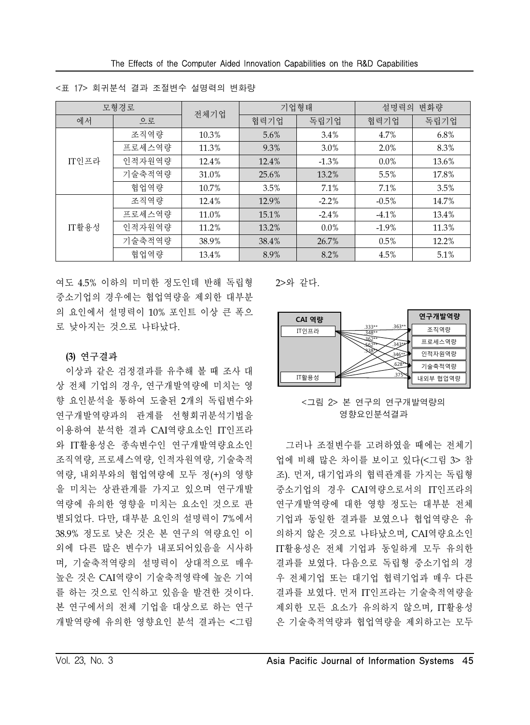|       | 모형경로            | 전체기업  | 기업형태    |          | 설명력의<br>변화량 |       |  |
|-------|-----------------|-------|---------|----------|-------------|-------|--|
| 에서    | 으로              |       | 협력기업    | 독립기업     | 협력기업        | 독립기업  |  |
|       | 조직역량            | 10.3% | $5.6\%$ | $3.4\%$  | 4.7%        | 6.8%  |  |
|       | 프로세스역량          | 11.3% | 9.3%    | 3.0%     | 2.0%        | 8.3%  |  |
| IT인프라 | 인적자원역량          | 12.4% | 12.4%   | $-1.3\%$ | $0.0\%$     | 13.6% |  |
|       | 기술축적역량          | 31.0% | 25.6%   | 13.2%    | 5.5%        | 17.8% |  |
|       | 협업역량            | 10.7% | 3.5%    | 7.1%     | 7.1%        | 3.5%  |  |
|       | 조직역량            | 12.4% | 12.9%   | $-2.2%$  | $-0.5\%$    | 14.7% |  |
|       | 프로세스역량          | 11.0% | 15.1%   | $-2.4\%$ | $-4.1\%$    | 13.4% |  |
| IT활용성 | 인적자원역량<br>11.2% |       | 13.2%   | $0.0\%$  | $-1.9\%$    | 11.3% |  |
|       | 기술축적역량          | 38.9% | 38.4%   | 26.7%    | $0.5\%$     | 12.2% |  |
|       | 협업역량            | 13.4% | 8.9%    | 8.2%     | 4.5%        | 5.1%  |  |

<표 17> 회귀분석 결과 조절변수 설명력의 변화량

여도 4.5% 이하의 미미한 정도인데 반해 독립형 중소기업의 경우에는 협업역량을 제외한 대부분 의 요인에서 설명력이 10% 포인트 이상 큰 폭으 로 낮아지는 것으로 나타났다.

### **(3)** 연구결과

이상과 같은 검정결과를 유추해 볼 때 조사 대 상 전체 기업의 경우, 연구개발역량에 미치는 영 향 요인분석을 통하여 도출된 2개의 독립변수와 연구개발역량과의 관계를 선형회귀분석기법을 이용하여 분석한 결과 CAI역량요소인 IT인프라 와 IT활용성은 종속변수인 연구개발역량요소인 조직역량, 프로세스역량, 인적자원역량, 기술축적 역량, 내외부와의 협업역량에 모두 정(+)의 영향 을 미치는 상관관계를 가지고 있으며 연구개발 역량에 유의한 영향을 미치는 요소인 것으로 판 별되었다. 다만, 대부분 요인의 설명력이 7%에서 38.9% 정도로 낮은 것은 본 연구의 역량요인 이 외에 다른 많은 변수가 내포되어있음을 시사하 며, 기술축적역량의 설명력이 상대적으로 매우 높은 것은 CAI역량이 기술축적영략에 높은 기여 를 하는 것으로 인식하고 있음을 발견한 것이다. 본 연구에서의 전체 기업을 대상으로 하는 연구 개발역량에 유의한 영향요인 분석 결과는 <그림 2>와 같다.



<그림 2> 본 연구의 연구개발역량의 영향요인분석결과

그러나 조절변수를 고려하였을 때에는 전체기 업에 비해 많은 차이를 보이고 있다(<그림 3> 참 조). 먼저, 대기업과의 협력관계를 가지는 독립형 중소기업의 경우 CAI역량으로서의 IT인프라의 연구개발역량에 대한 영향 정도는 대부분 전체 기업과 동일한 결과를 보였으나 협업역량은 유 의하지 않은 것으로 나타났으며, CAI역량요소인 IT활용성은 전체 기업과 동일하게 모두 유의한 결과를 보였다. 다음으로 독립형 중소기업의 경 우 전체기업 또는 대기업 협력기업과 매우 다른 결과를 보였다. 먼저 IT인프라는 기술축적역량을 제외한 모든 요소가 유의하지 않으며, IT활용성 은 기술축적역량과 협업역량을 제외하고는 모두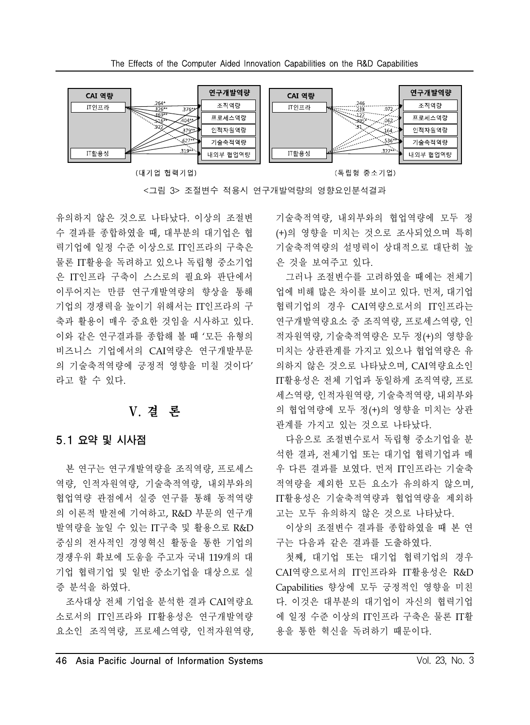





유의하지 않은 것으로 나타났다. 이상의 조절변 수 결과를 종합하였을 때, 대부분의 대기업은 협 력기업에 일정 수준 이상으로 IT인프라의 구축은 물론 IT활용을 독려하고 있으나 독립형 중소기업 은 IT인프라 구축이 스스로의 필요와 판단에서 이루어지는 만큼 연구개발역량의 향상을 통해 기업의 경쟁력을 높이기 위해서는 IT인프라의 구 축과 활용이 매우 중요한 것임을 시사하고 있다. 이와 같은 연구결과를 종합해 볼 때 '모든 유형의 비즈니스 기업에서의 CAI역량은 연구개발부문 의 기술축적역량에 긍정적 영향을 미칠 것이다' 라고 할 수 있다.

# V. 결 론

### 5.1 요약 및 시사점

본 연구는 연구개발역량을 조직역량, 프로세스 역량, 인적자원역량, 기술축적역량, 내외부와의 협업역량 관점에서 실증 연구를 통해 동적역량 의 이론적 발전에 기여하고, R&D 부문의 연구개 발역량을 높일 수 있는 IT구축 및 활용으로 R&D 중심의 전사적인 경영혁신 활동을 통한 기업의 경쟁우위 확보에 도움을 주고자 국내 119개의 대 기업 협력기업 및 일반 중소기업을 대상으로 실 증 분석을 하였다.

조사대상 전체 기업을 분석한 결과 CAI역량요 소로서의 IT인프라와 IT활용성은 연구개발역량 요소인 조직역량, 프로세스역량, 인적자원역량,

기술축적역량, 내외부와의 협업역량에 모두 정 (+)의 영향을 미치는 것으로 조사되었으며 특히 기술축적역량의 설명력이 상대적으로 대단히 높 은 것을 보여주고 있다.

그러나 조절변수를 고려하였을 때에는 전체기 업에 비해 많은 차이를 보이고 있다. 먼저, 대기업 협력기업의 경우 CAI역량으로서의 IT인프라는 연구개발역량요소 중 조직역량, 프로세스역량, 인 적자원역량, 기술축적역량은 모두 정(+)의 영향을 미치는 상관관계를 가지고 있으나 협업역량은 유 의하지 않은 것으로 나타났으며, CAI역량요소인 IT활용성은 전체 기업과 동일하게 조직역량, 프로 세스역량, 인적자원역량, 기술축적역량, 내외부와 의 협업역량에 모두 정(+)의 영향을 미치는 상관 관계를 가지고 있는 것으로 나타났다.

다음으로 조절변수로서 독립형 중소기업을 분 석한 결과, 전체기업 또는 대기업 협력기업과 매 우 다른 결과를 보였다. 먼저 IT인프라는 기술축 적역량을 제외한 모든 요소가 유의하지 않으며, IT활용성은 기술축적역량과 협업역량을 제외하 고는 모두 유의하지 않은 것으로 나타났다.

이상의 조절변수 결과를 종합하였을 때 본 연 구는 다음과 같은 결과를 도출하였다.

첫째, 대기업 또는 대기업 협력기업의 경우 CAI역량으로서의 IT인프라와 IT활용성은 R&D Capabilities 향상에 모두 긍정적인 영향을 미친 다. 이것은 대부분의 대기업이 자신의 협력기업 에 일정 수준 이상의 IT인프라 구축은 물론 IT활 용을 통한 혁신을 독려하기 때문이다.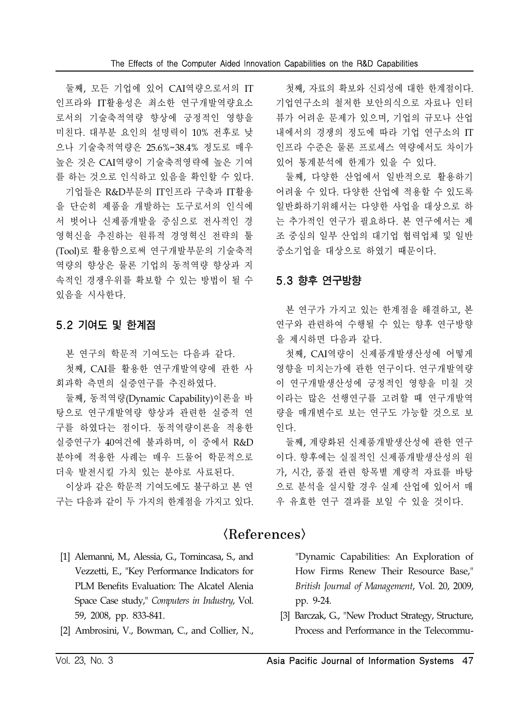둘째, 모든 기업에 있어 CAI역량으로서의 IT 인프라와 IT활용성은 최소한 연구개발역량요소 로서의 기술축적역량 향상에 긍정적인 영향을 미친다. 대부분 요인의 설명력이 10% 전후로 낮 으나 기술축적역량은 25.6%~38.4% 정도로 매우 높은 것은 CAI역량이 기술축적영략에 높은 기여 를 하는 것으로 인식하고 있음을 확인할 수 있다.

기업들은 R&D부문의 IT인프라 구축과 IT활용 을 단순히 제품을 개발하는 도구로서의 인식에 서 벗어나 신제품개발을 중심으로 전사적인 경 영혁신을 추진하는 원류적 경영혁신 전략의 툴 (Tool)로 활용함으로써 연구개발부문의 기술축적 역량의 향상은 물론 기업의 동적역량 향상과 지 속적인 경쟁우위를 확보할 수 있는 방법이 될 수 있음을 시사한다.

# 5.2 기여도 및 한계점

본 연구의 학문적 기여도는 다음과 같다.

첫째, CAI를 활용한 연구개발역량에 관한 사 회과학 측면의 실증연구를 추진하였다.

둘째, 동적역량(Dynamic Capability)이론을 바 탕으로 연구개발역량 향상과 관련한 실증적 연 구를 하였다는 점이다. 동적역량이론을 적용한 실증연구가 40여건에 불과하며, 이 중에서 R&D 분야에 적용한 사례는 매우 드물어 학문적으로 더욱 발전시킬 가치 있는 분야로 사료된다.

이상과 같은 학문적 기여도에도 불구하고 본 연 구는 다음과 같이 두 가지의 한계점을 가지고 있다.

첫째, 자료의 확보와 신뢰성에 대한 한계점이다. 기업연구소의 철저한 보안의식으로 자료나 인터 뷰가 어려운 문제가 있으며, 기업의 규모나 산업 내에서의 경쟁의 정도에 따라 기업 연구소의 IT 인프라 수준은 물론 프로세스 역량에서도 차이가 있어 통계분석에 한계가 있을 수 있다.

둘째, 다양한 산업에서 일반적으로 활용하기 어려울 수 있다. 다양한 산업에 적용할 수 있도록 일반화하기위해서는 다양한 사업을 대상으로 하 는 추가적인 연구가 필요하다. 본 연구에서는 제 조 중심의 일부 산업의 대기업 협력업체 및 일반 중소기업을 대상으로 하였기 때문이다.

# 5.3 향후 연구방향

본 연구가 가지고 있는 한계점을 해결하고, 본 연구와 관련하여 수행될 수 있는 향후 연구방향 을 제시하면 다음과 같다.

첫째, CAI역량이 신제품개발생산성에 어떻게 영향을 미치는가에 관한 연구이다. 연구개발역량 이 연구개발생산성에 긍정적인 영향을 미칠 것 이라는 많은 선행연구를 고려할 때 연구개발역 량을 매개변수로 보는 연구도 가능할 것으로 보 인다.

둘째, 계량화된 신제품개발생산성에 관한 연구 이다. 향후에는 실질적인 신제품개발생산성의 원 가, 시간, 품질 관련 항목별 계량적 자료를 바탕 으로 분석을 실시할 경우 실제 산업에 있어서 매 우 유효한 연구 결과를 보일 수 있을 것이다.

# $\langle References \rangle$

- [1] Alemanni, M., Alessia, G., Tornincasa, S., and Vezzetti, E., "Key Performance Indicators for PLM Benefits Evaluation: The Alcatel Alenia Space Case study," *Computers in Industry*, Vol. 59, 2008, pp. 833-841.
- [2] Ambrosini, V., Bowman, C., and Collier, N.,

"Dynamic Capabilities: An Exploration of How Firms Renew Their Resource Base," *British Journal of Management*, Vol. 20, 2009, pp. 9-24.

[3] Barczak, G., "New Product Strategy, Structure, Process and Performance in the Telecommu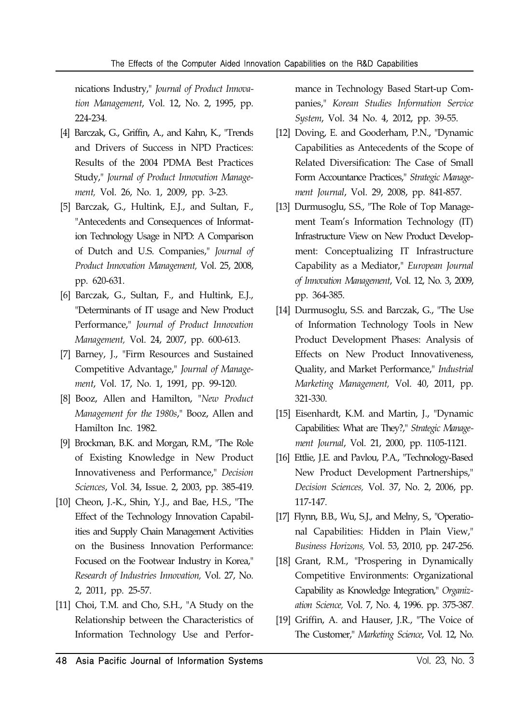nications Industry," *Journal of Product Innovation Management*, Vol. 12, No. 2, 1995, pp. 224-234.

- [4] Barczak, G., Griffin, A., and Kahn, K., "Trends and Drivers of Success in NPD Practices: Results of the 2004 PDMA Best Practices Study," *Journal of Product Innovation Management,* Vol. 26, No. 1, 2009, pp. 3-23.
- [5] Barczak, G., Hultink, E.J., and Sultan, F., "Antecedents and Consequences of Information Technology Usage in NPD: A Comparison of Dutch and U.S. Companies," *Journal of Product Innovation Management,* Vol. 25, 2008, pp. 620-631.
- [6] Barczak, G., Sultan, F., and Hultink, E.J., "Determinants of IT usage and New Product Performance," *Journal of Product Innovation Management,* Vol. 24, 2007, pp. 600-613.
- [7] Barney, J., "Firm Resources and Sustained Competitive Advantage," *Journal of Management*, Vol. 17, No. 1, 1991, pp. 99-120.
- [8] Booz, Allen and Hamilton, "*New Product Management for the 1980s*," Booz, Allen and Hamilton Inc. 1982.
- [9] Brockman, B.K. and Morgan, R.M., "The Role of Existing Knowledge in New Product Innovativeness and Performance," *Decision Sciences*, Vol. 34, Issue. 2, 2003, pp. 385-419.
- [10] Cheon, J.-K., Shin, Y.J., and Bae, H.S., "The Effect of the Technology Innovation Capabilities and Supply Chain Management Activities on the Business Innovation Performance: Focused on the Footwear Industry in Korea," *Research of Industries Innovation,* Vol. 27, No. 2, 2011, pp. 25-57.
- [11] Choi, T.M. and Cho, S.H., "A Study on the Relationship between the Characteristics of Information Technology Use and Perfor-

mance in Technology Based Start-up Companies," *Korean Studies Information Service System*, Vol. 34 No. 4, 2012, pp. 39-55.

- [12] Doving, E. and Gooderham, P.N., "Dynamic Capabilities as Antecedents of the Scope of Related Diversification: The Case of Small Form Accountance Practices," *Strategic Management Journal*, Vol. 29, 2008, pp. 841-857.
- [13] Durmusoglu, S.S., "The Role of Top Management Team's Information Technology (IT) Infrastructure View on New Product Development: Conceptualizing IT Infrastructure Capability as a Mediator," *European Journal of Innovation Management*, Vol. 12, No. 3, 2009, pp. 364-385.
- [14] Durmusoglu, S.S. and Barczak, G., "The Use of Information Technology Tools in New Product Development Phases: Analysis of Effects on New Product Innovativeness, Quality, and Market Performance," *Industrial Marketing Management,* Vol. 40, 2011, pp. 321-330.
- [15] Eisenhardt, K.M. and Martin, J., "Dynamic Capabilities: What are They?," *Strategic Management Journal*, Vol. 21, 2000, pp. 1105-1121.
- [16] Ettlie, J.E. and Pavlou, P.A., "Technology-Based New Product Development Partnerships," *Decision Sciences,* Vol. 37, No. 2, 2006, pp. 117-147.
- [17] Flynn, B.B., Wu, S.J., and Melny, S., "Operational Capabilities: Hidden in Plain View," *Business Horizons,* Vol. 53, 2010, pp. 247-256.
- [18] Grant, R.M., "Prospering in Dynamically Competitive Environments: Organizational Capability as Knowledge Integration," *Organization Science,* Vol. 7, No. 4, 1996. pp. 375-387.
- [19] Griffin, A. and Hauser, J.R., "The Voice of The Customer," *Marketing Science*, Vol*.* 12, No.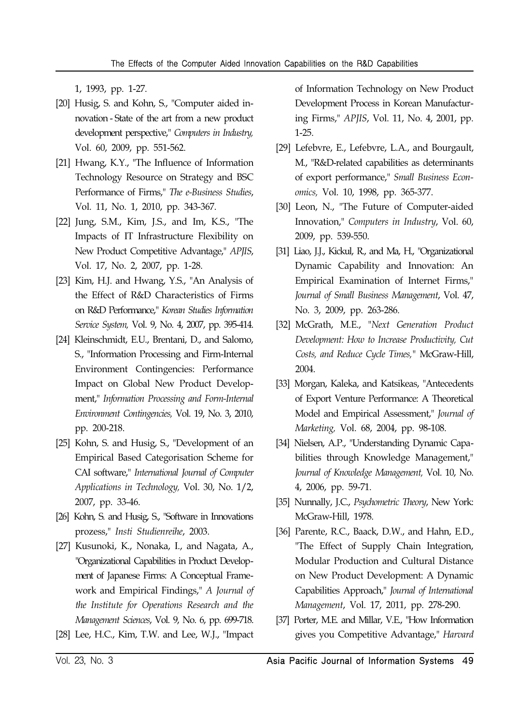1, 1993, pp. 1-27.

- [20] Husig, S. and Kohn, S., "Computer aided innovation - State of the art from a new product development perspective," *Computers in Industry,* Vol. 60, 2009, pp. 551-562.
- [21] Hwang, K.Y., "The Influence of Information Technology Resource on Strategy and BSC Performance of Firms," *The e-Business Studies*, Vol. 11, No. 1, 2010, pp. 343-367.
- [22] Jung, S.M., Kim, J.S., and Im, K.S., "The Impacts of IT Infrastructure Flexibility on New Product Competitive Advantage," *APJIS*, Vol. 17, No. 2, 2007, pp. 1-28.
- [23] Kim, H.J. and Hwang, Y.S., "An Analysis of the Effect of R&D Characteristics of Firms on R&D Performance," *Korean Studies Information Service System,* Vol. 9, No. 4, 2007, pp. 395-414.
- [24] Kleinschmidt, E.U., Brentani, D., and Salomo, S., "Information Processing and Firm-Internal Environment Contingencies: Performance Impact on Global New Product Development," *Information Processing and Form-Internal Environment Contingencies,* Vol. 19, No. 3, 2010, pp. 200-218.
- [25] Kohn, S. and Husig, S., "Development of an Empirical Based Categorisation Scheme for CAI software," *International Journal of Computer Applications in Technology,* Vol. 30, No. 1/2, 2007, pp. 33-46.
- [26] Kohn, S. and Husig, S., "Software in Innovations prozess," *Insti Studienreihe*, 2003.
- [27] Kusunoki, K., Nonaka, I., and Nagata, A., "Organizational Capabilities in Product Development of Japanese Firms: A Conceptual Framework and Empirical Findings," *A Journal of the Institute for Operations Research and the Management Sciences*, Vol. 9, No. 6, pp. 699-718.
- [28] Lee, H.C., Kim, T.W. and Lee, W.J., "Impact

of Information Technology on New Product Development Process in Korean Manufacturing Firms," *APJIS*, Vol. 11, No. 4, 2001, pp. 1-25.

- [29] Lefebvre, E., Lefebvre, L.A., and Bourgault, M., "R&D-related capabilities as determinants of export performance," *Small Business Economics,* Vol. 10, 1998, pp. 365-377.
- [30] Leon, N., "The Future of Computer-aided Innovation," *Computers in Industry*, Vol. 60, 2009, pp. 539-550.
- [31] Liao, J.J., Kickul, R., and Ma, H., "Organizational Dynamic Capability and Innovation: An Empirical Examination of Internet Firms," *Journal of Small Business Management*, Vol. 47, No. 3, 2009, pp. 263-286.
- [32] McGrath, M.E., "*Next Generation Product Development: How to Increase Productivity, Cut Costs, and Reduce Cycle Times,"* McGraw-Hill, 2004.
- [33] Morgan, Kaleka, and Katsikeas, "Antecedents of Export Venture Performance: A Theoretical Model and Empirical Assessment," *Journal of Marketing,* Vol. 68, 2004, pp. 98-108.
- [34] Nielsen, A.P., "Understanding Dynamic Capabilities through Knowledge Management," *Journal of Knowledge Management,* Vol. 10, No. 4, 2006, pp. 59-71.
- [35] Nunnally, J.C., *Psychometric Theory*, New York: McGraw-Hill, 1978.
- [36] Parente, R.C., Baack, D.W., and Hahn, E.D., "The Effect of Supply Chain Integration, Modular Production and Cultural Distance on New Product Development: A Dynamic Capabilities Approach," *Journal of International Management*, Vol. 17, 2011, pp. 278-290.
- [37] Porter, M.E. and Millar, V.E., "How Information gives you Competitive Advantage," *Harvard*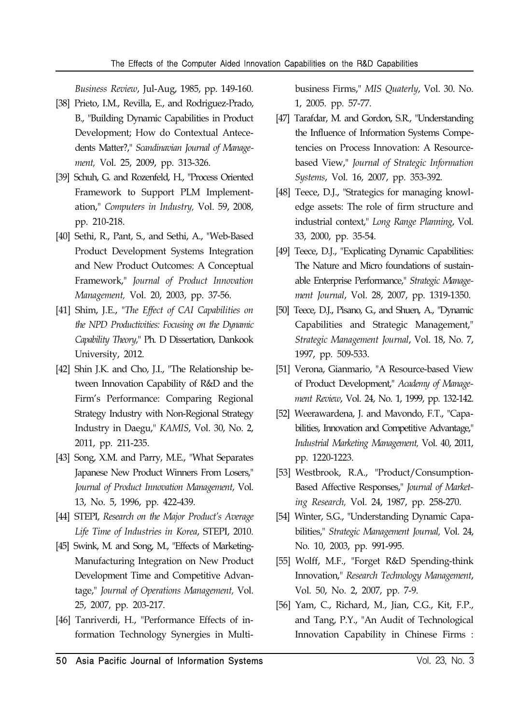*Business Review*, Jul-Aug, 1985, pp. 149-160.

- [38] Prieto, I.M., Revilla, E., and Rodriguez-Prado, B., "Building Dynamic Capabilities in Product Development; How do Contextual Antecedents Matter?," *Scandinavian Journal of Management,* Vol. 25, 2009, pp. 313-326.
- [39] Schuh, G. and Rozenfeld, H., "Process Oriented Framework to Support PLM Implementation," *Computers in Industry,* Vol. 59, 2008, pp. 210-218.
- [40] Sethi, R., Pant, S., and Sethi, A., "Web-Based Product Development Systems Integration and New Product Outcomes: A Conceptual Framework," *Journal of Product Innovation Management,* Vol. 20, 2003, pp. 37-56.
- [41] Shim, J.E., "*The Effect of CAI Capabilities on the NPD Productivities: Focusing on the Dynamic Capability Theory*," Ph. D Dissertation, Dankook University, 2012.
- [42] Shin J.K. and Cho, J.I., "The Relationship between Innovation Capability of R&D and the Firm's Performance: Comparing Regional Strategy Industry with Non-Regional Strategy Industry in Daegu," *KAMIS*, Vol. 30, No. 2, 2011, pp. 211-235.
- [43] Song, X.M. and Parry, M.E., "What Separates Japanese New Product Winners From Losers," *Journal of Product Innovation Management*, Vol. 13, No. 5, 1996, pp. 422-439.
- [44] STEPI, *Research on the Major Product's Average Life Time of Industries in Korea*, STEPI, 2010.
- [45] Swink, M. and Song, M., "Effects of Marketing-Manufacturing Integration on New Product Development Time and Competitive Advantage," *Journal of Operations Management,* Vol. 25, 2007, pp. 203-217.
- [46] Tanriverdi, H., "Performance Effects of information Technology Synergies in Multi-

business Firms," *MIS Quaterly*, Vol. 30. No. 1, 2005. pp. 57-77.

- [47] Tarafdar, M. and Gordon, S.R., "Understanding the Influence of Information Systems Competencies on Process Innovation: A Resourcebased View," *Journal of Strategic Information Systems*, Vol. 16, 2007, pp. 353-392.
- [48] Teece, D.J., "Strategics for managing knowledge assets: The role of firm structure and industrial context," *Long Range Planning*, Vol. 33, 2000, pp. 35-54.
- [49] Teece, D.J., "Explicating Dynamic Capabilities: The Nature and Micro foundations of sustainable Enterprise Performance," *Strategic Management Journal*, Vol. 28, 2007, pp. 1319-1350.
- [50] Teece, D.J., Pisano, G., and Shuen, A., "Dynamic Capabilities and Strategic Management," *Strategic Management Journal*, Vol. 18, No. 7, 1997, pp. 509-533.
- [51] Verona, Gianmario, "A Resource-based View of Product Development," *Academy of Management Review*, Vol. 24, No. 1, 1999, pp. 132-142.
- [52] Weerawardena, J. and Mavondo, F.T., "Capabilities, Innovation and Competitive Advantage," *Industrial Marketing Management,* Vol. 40, 2011, pp. 1220-1223.
- [53] Westbrook, R.A., "Product/Consumption-Based Affective Responses," *Journal of Marketing Research,* Vol. 24, 1987, pp. 258-270.
- [54] Winter, S.G., "Understanding Dynamic Capabilities," *Strategic Management Journal,* Vol. 24, No. 10, 2003, pp. 991-995.
- [55] Wolff, M.F., "Forget R&D Spending-think Innovation," *Research Technology Management*, Vol. 50, No. 2, 2007, pp. 7-9.
- [56] Yam, C., Richard, M., Jian, C.G., Kit, F.P., and Tang, P.Y., "An Audit of Technological Innovation Capability in Chinese Firms :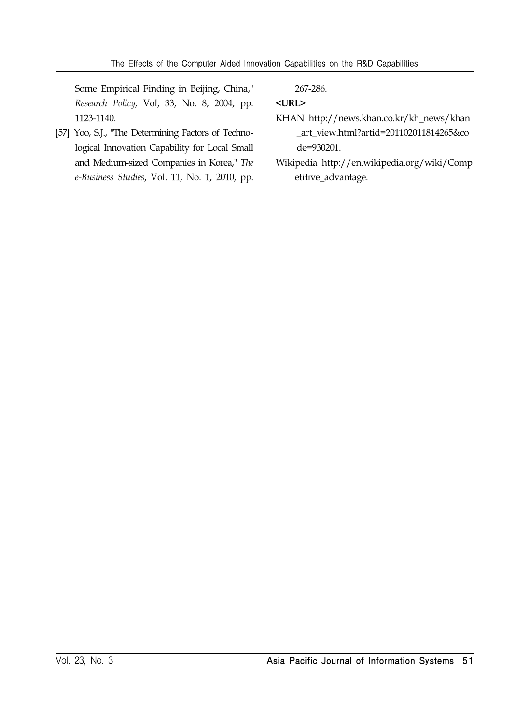Some Empirical Finding in Beijing, China," *Research Policy,* Vol, 33, No. 8, 2004, pp. 1123-1140.

[57] Yoo, S.J., "The Determining Factors of Technological Innovation Capability for Local Small and Medium-sized Companies in Korea," *The e-Business Studies*, Vol. 11, No. 1, 2010, pp.

267-286.

### **<URL>**

- KHAN http://news.khan.co.kr/kh\_news/khan \_art\_view.html?artid=201102011814265&co de=930201.
- Wikipedia http://en.wikipedia.org/wiki/Comp etitive\_advantage.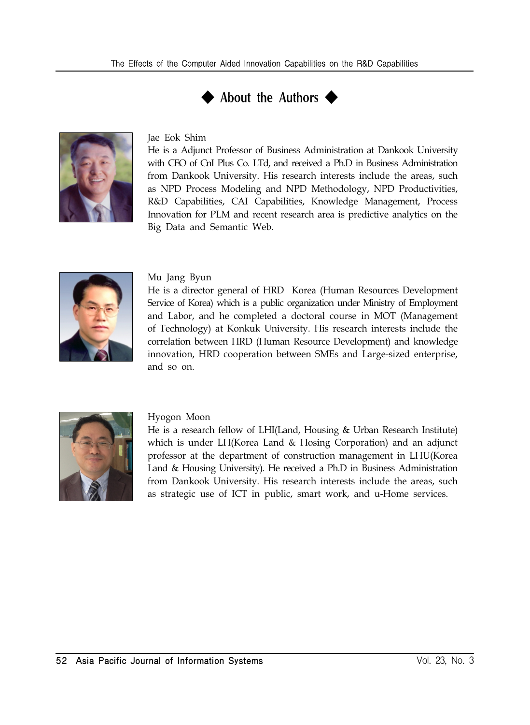



#### Jae Eok Shim

He is a Adjunct Professor of Business Administration at Dankook University with CEO of CnI Plus Co. LTd, and received a Ph.D in Business Administration from Dankook University. His research interests include the areas, such as NPD Process Modeling and NPD Methodology, NPD Productivities, R&D Capabilities, CAI Capabilities, Knowledge Management, Process Innovation for PLM and recent research area is predictive analytics on the Big Data and Semantic Web.



#### Mu Jang Byun

He is a director general of HRD Korea (Human Resources Development Service of Korea) which is a public organization under Ministry of Employment and Labor, and he completed a doctoral course in MOT (Management of Technology) at Konkuk University. His research interests include the correlation between HRD (Human Resource Development) and knowledge innovation, HRD cooperation between SMEs and Large-sized enterprise, and so on.



#### Hyogon Moon

He is a research fellow of LHI(Land, Housing & Urban Research Institute) which is under LH(Korea Land & Hosing Corporation) and an adjunct professor at the department of construction management in LHU(Korea Land & Housing University). He received a Ph.D in Business Administration from Dankook University. His research interests include the areas, such as strategic use of ICT in public, smart work, and u-Home services.